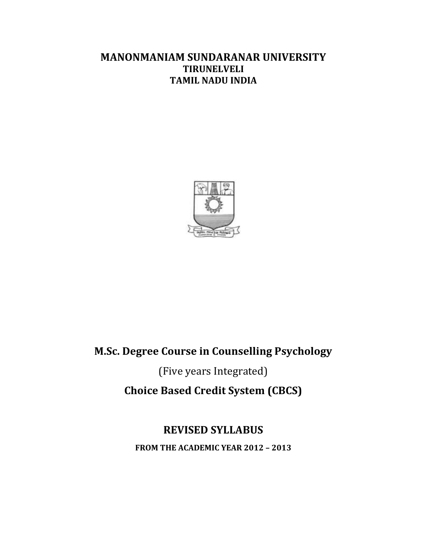## **MANONMANIAM SUNDARANAR UNIVERSITY TIRUNELVELI TAMIL NADU INDIA**



## **M.Sc. Degree Course in Counselling Psychology**

(Five years Integrated) **Choice Based Credit System (CBCS)**

## **REVISED SYLLABUS**

**FROM THE ACADEMIC YEAR 2012 – 2013**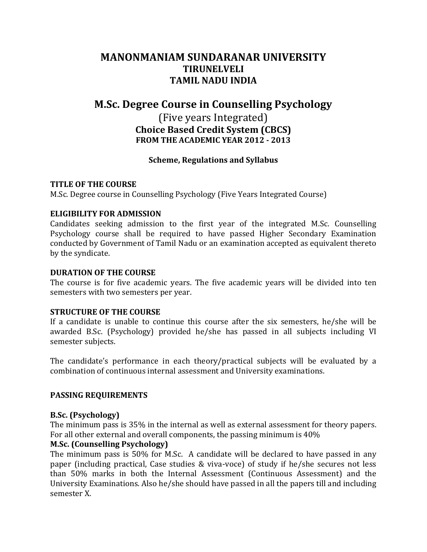## **MANONMANIAM SUNDARANAR UNIVERSITY TIRUNELVELI TAMIL NADU INDIA**

## **M.Sc. Degree Course in Counselling Psychology**

(Five years Integrated) **Choice Based Credit System (CBCS) FROM THE ACADEMIC YEAR 2012 - 2013**

#### **Scheme, Regulations and Syllabus**

#### **TITLE OF THE COURSE**

M.Sc. Degree course in Counselling Psychology (Five Years Integrated Course)

#### **ELIGIBILITY FOR ADMISSION**

Candidates seeking admission to the first year of the integrated M.Sc. Counselling Psychology course shall be required to have passed Higher Secondary Examination conducted by Government of Tamil Nadu or an examination accepted as equivalent thereto by the syndicate.

#### **DURATION OF THE COURSE**

The course is for five academic years. The five academic years will be divided into ten semesters with two semesters per year.

#### **STRUCTURE OF THE COURSE**

If a candidate is unable to continue this course after the six semesters, he/she will be awarded B.Sc. (Psychology) provided he/she has passed in all subjects including VI semester subjects.

The candidate's performance in each theory/practical subjects will be evaluated by a combination of continuous internal assessment and University examinations.

#### **PASSING REQUIREMENTS**

#### **B.Sc. (Psychology)**

The minimum pass is 35% in the internal as well as external assessment for theory papers. For all other external and overall components, the passing minimum is 40%

#### **M.Sc. (Counselling Psychology)**

The minimum pass is 50% for M.Sc. A candidate will be declared to have passed in any paper (including practical, Case studies & viva-voce) of study if he/she secures not less than 50% marks in both the Internal Assessment (Continuous Assessment) and the University Examinations. Also he/she should have passed in all the papers till and including semester X.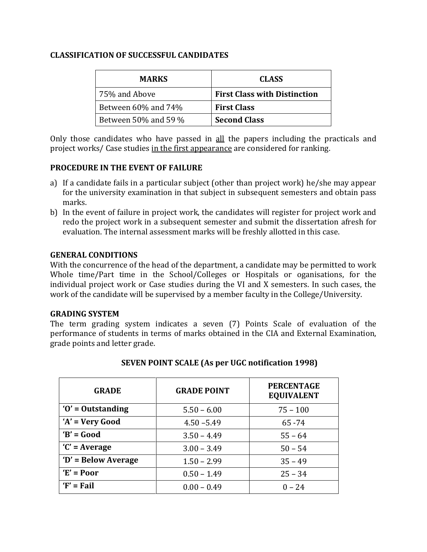#### **CLASSIFICATION OF SUCCESSFUL CANDIDATES**

| <b>MARKS</b>              | <b>CLASS</b>                        |
|---------------------------|-------------------------------------|
| 75% and Above             | <b>First Class with Distinction</b> |
| Between $60\%$ and $74\%$ | <b>First Class</b>                  |
| Between 50% and 59 %      | <b>Second Class</b>                 |

Only those candidates who have passed in all the papers including the practicals and project works/ Case studies in the first appearance are considered for ranking.

#### **PROCEDURE IN THE EVENT OF FAILURE**

- a) If a candidate fails in a particular subject (other than project work) he/she may appear for the university examination in that subject in subsequent semesters and obtain pass marks.
- b) In the event of failure in project work, the candidates will register for project work and redo the project work in a subsequent semester and submit the dissertation afresh for evaluation. The internal assessment marks will be freshly allotted in this case.

#### **GENERAL CONDITIONS**

With the concurrence of the head of the department, a candidate may be permitted to work Whole time/Part time in the School/Colleges or Hospitals or oganisations, for the individual project work or Case studies during the VI and X semesters. In such cases, the work of the candidate will be supervised by a member faculty in the College/University.

#### **GRADING SYSTEM**

The term grading system indicates a seven (7) Points Scale of evaluation of the performance of students in terms of marks obtained in the CIA and External Examination, grade points and letter grade.

| <b>GRADE</b>        | <b>GRADE POINT</b> | <b>PERCENTAGE</b><br><b>EQUIVALENT</b> |
|---------------------|--------------------|----------------------------------------|
| $'0'$ = Outstanding | $5.50 - 6.00$      | $75 - 100$                             |
| $'A' = Very Good$   | $4.50 - 5.49$      | $65 - 74$                              |
| $B' = Good$         | $3.50 - 4.49$      | $55 - 64$                              |
| $C'$ = Average      | $3.00 - 3.49$      | $50 - 54$                              |
| 'D' = Below Average | $1.50 - 2.99$      | $35 - 49$                              |
| $E' = Poor$         | $0.50 - 1.49$      | $25 - 34$                              |
| $F' = Fail$         | $0.00 - 0.49$      | $0 - 24$                               |

#### **SEVEN POINT SCALE (As per UGC notification 1998)**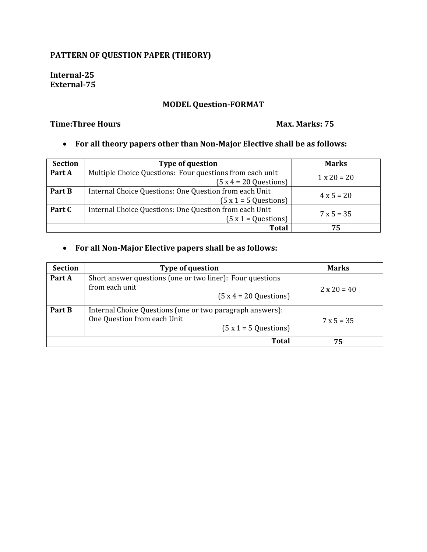### **PATTERN OF QUESTION PAPER (THEORY)**

**Internal-25 External-75**

#### **MODEL Question-FORMAT**

#### **Time:Three Hours Max. Marks: 75**

#### **For all theory papers other than Non-Major Elective shall be as follows:**

| <b>Section</b> | <b>Type of question</b>                                  | <b>Marks</b>       |
|----------------|----------------------------------------------------------|--------------------|
| Part A         | Multiple Choice Questions: Four questions from each unit | $1 \times 20 = 20$ |
|                | $(5x4 = 20$ Questions)                                   |                    |
| Part B         | Internal Choice Questions: One Question from each Unit   | $4 \times 5 = 20$  |
|                | $(5x1 = 5$ Questions)                                    |                    |
| Part C         | Internal Choice Questions: One Question from each Unit   | $7 \times 5 = 35$  |
|                | $(5 x 1 = Questions)$                                    |                    |
|                | Total                                                    | 75                 |

### **For all Non-Major Elective papers shall be as follows:**

| <b>Section</b> | <b>Type of question</b>                                                                                           | <b>Marks</b>       |
|----------------|-------------------------------------------------------------------------------------------------------------------|--------------------|
| Part A         | Short answer questions (one or two liner): Four questions<br>from each unit<br>$(5x4 = 20$ Questions              | $2 \times 20 = 40$ |
| Part B         | Internal Choice Questions (one or two paragraph answers):<br>One Question from each Unit<br>$(5x1 = 5$ Questions) | $7 \times 5 = 35$  |
|                | <b>Total</b>                                                                                                      | 75                 |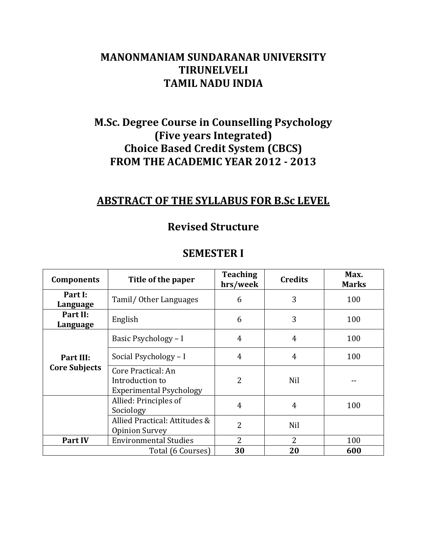## **MANONMANIAM SUNDARANAR UNIVERSITY TIRUNELVELI TAMIL NADU INDIA**

## **M.Sc. Degree Course in Counselling Psychology (Five years Integrated) Choice Based Credit System (CBCS) FROM THE ACADEMIC YEAR 2012 - 2013**

## **ABSTRACT OF THE SYLLABUS FOR B.Sc LEVEL**

## **Revised Structure**

| <b>SEMESTER I</b> |  |
|-------------------|--|
|-------------------|--|

| <b>Components</b>                 | Title of the paper                                                      | <b>Teaching</b><br>hrs/week | <b>Credits</b> | Max.<br><b>Marks</b> |
|-----------------------------------|-------------------------------------------------------------------------|-----------------------------|----------------|----------------------|
| Part I:<br>Language               | Tamil/ Other Languages                                                  | 6                           | 3              | 100                  |
| Part II:<br>Language              | English                                                                 | 6                           | 3              | 100                  |
|                                   | Basic Psychology - I                                                    | 4                           | $\overline{4}$ | 100                  |
| Part III:<br><b>Core Subjects</b> | Social Psychology - I                                                   | $\overline{4}$              | $\overline{4}$ | 100                  |
|                                   | Core Practical: An<br>Introduction to<br><b>Experimental Psychology</b> | 2                           | Nil            |                      |
|                                   | Allied: Principles of<br>Sociology                                      | 4                           | 4              | 100                  |
|                                   | Allied Practical: Attitudes &<br><b>Opinion Survey</b>                  | 2                           | Nil            |                      |
| <b>Part IV</b>                    | <b>Environmental Studies</b>                                            | 2                           | $\overline{2}$ | 100                  |
|                                   | Total (6 Courses)                                                       | 30                          | 20             | 600                  |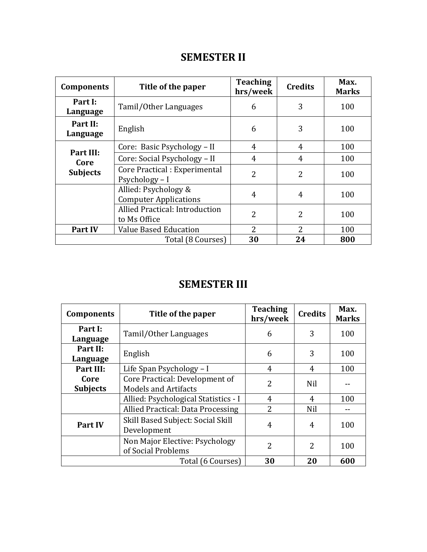## **SEMESTER II**

| <b>Components</b>                    | Title of the paper                                   | <b>Teaching</b><br>hrs/week | <b>Credits</b> | Max.<br><b>Marks</b> |
|--------------------------------------|------------------------------------------------------|-----------------------------|----------------|----------------------|
| Part I:<br>Language                  | Tamil/Other Languages                                | 6                           | 3              | 100                  |
| Part II:<br>Language                 | English                                              | 6                           | 3              | 100                  |
|                                      | Core: Basic Psychology - II                          | $\overline{4}$              | 4              | 100                  |
| Part III:<br>Core<br><b>Subjects</b> | Core: Social Psychology - II                         | $\overline{4}$              | 4              | 100                  |
|                                      | Core Practical : Experimental<br>Psychology - I      | $\overline{2}$              | 2              | 100                  |
|                                      | Allied: Psychology &<br><b>Computer Applications</b> | 4                           | 4              | 100                  |
|                                      | Allied Practical: Introduction<br>to Ms Office       | 2                           | 2              | 100                  |
| <b>Part IV</b>                       | <b>Value Based Education</b>                         | 2                           | 2              | 100                  |
|                                      | Total (8 Courses)                                    | 30                          | 24             | 800                  |

## **SEMESTER III**

| <b>Components</b>       | Title of the paper                                            | <b>Teaching</b><br>hrs/week | <b>Credits</b> | Max.<br><b>Marks</b> |
|-------------------------|---------------------------------------------------------------|-----------------------------|----------------|----------------------|
| Part I:<br>Language     | Tamil/Other Languages                                         | 6                           | 3              | 100                  |
| Part II:<br>Language    | English                                                       | 6                           | 3              | 100                  |
| Part III:               | Life Span Psychology - I                                      | 4                           | 4              | 100                  |
| Core<br><b>Subjects</b> | Core Practical: Development of<br><b>Models and Artifacts</b> | 2                           | Nil            |                      |
|                         | Allied: Psychological Statistics - I                          | 4                           | 4              | 100                  |
|                         | Allied Practical: Data Processing                             | 2                           | Nil            |                      |
| <b>Part IV</b>          | Skill Based Subject: Social Skill<br>Development              | 4                           | 4              | 100                  |
|                         | Non Major Elective: Psychology<br>of Social Problems          | 2                           | 2              | 100                  |
|                         | Total (6 Courses)                                             | 30                          | 20             | 600                  |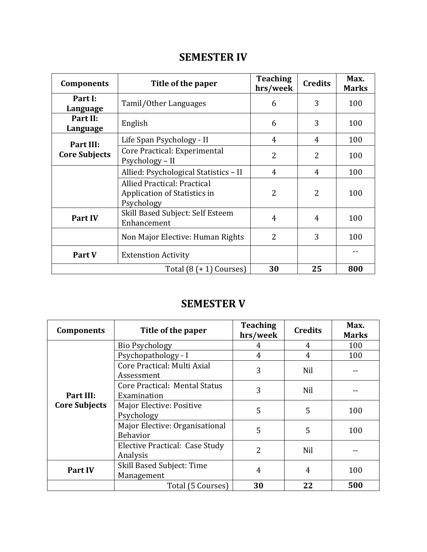## **SEMESTER IV**

| <b>Components</b>    | Title of the paper                                                               | <b>Teaching</b><br>hrs/week | <b>Credits</b> | Max.<br><b>Marks</b> |
|----------------------|----------------------------------------------------------------------------------|-----------------------------|----------------|----------------------|
| Part I:<br>Language  | Tamil/Other Languages                                                            | 6                           | 3              | 100                  |
| Part II:<br>Language | English                                                                          | 6                           | 3              | 100                  |
| Part III:            | Life Span Psychology - II                                                        | 4                           | 4              | 100                  |
| <b>Core Subjects</b> | Core Practical: Experimental<br>Psychology – II                                  | $\overline{2}$              | 2              | 100                  |
|                      | Allied: Psychological Statistics - II                                            | 4                           | 4              | 100                  |
|                      | <b>Allied Practical: Practical</b><br>Application of Statistics in<br>Psychology | 2                           | $\overline{2}$ | 100                  |
| Part IV              | Skill Based Subject: Self Esteem<br>Enhancement                                  | 4                           | 4              | 100                  |
|                      | Non Major Elective: Human Rights                                                 | $\overline{2}$              | 3              | 100                  |
| Part V               | <b>Extenstion Activity</b>                                                       |                             |                |                      |
|                      | Total $(8 (+ 1)$ Courses)                                                        | 30                          | 25             | 800                  |

## **SEMESTER V**

| <b>Components</b>    | Title of the paper                                | <b>Teaching</b><br>hrs/week | <b>Credits</b> | Max.<br><b>Marks</b> |
|----------------------|---------------------------------------------------|-----------------------------|----------------|----------------------|
|                      | Bio Psychology                                    | 4                           | 4              | 100                  |
|                      | Psychopathology - I                               | 4                           | $\overline{4}$ | 100                  |
|                      | Core Practical: Multi Axial<br>Assessment         | 3                           | Nil            |                      |
| Part III:            | Core Practical: Mental Status<br>Examination      | 3                           | Nil            |                      |
| <b>Core Subjects</b> | Major Elective: Positive<br>Psychology            | 5                           | 5              | 100                  |
|                      | Major Elective: Organisational<br><b>Behavior</b> | 5                           | 5              | 100                  |
|                      | Elective Practical: Case Study<br>Analysis        | $\overline{2}$              | Nil            |                      |
| Part IV              | Skill Based Subject: Time<br>Management           | 4                           | $\overline{4}$ | 100                  |
|                      | Total (5 Courses)                                 | 30                          | 22             | 500                  |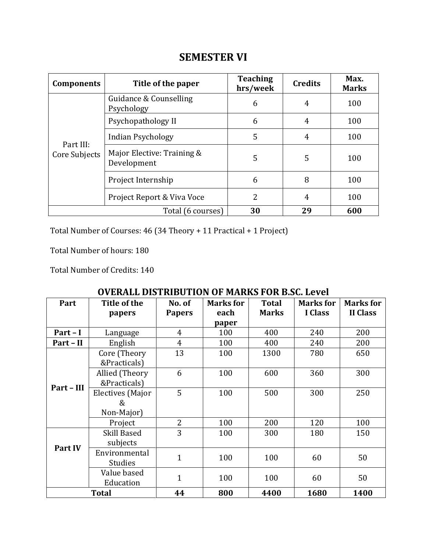| <b>Components</b>          | Title of the paper                        | <b>Teaching</b><br>hrs/week | <b>Credits</b> | Max.<br><b>Marks</b> |
|----------------------------|-------------------------------------------|-----------------------------|----------------|----------------------|
|                            | Guidance & Counselling<br>Psychology      | 6                           | 4              | 100                  |
|                            | Psychopathology II                        | 6                           | $\overline{4}$ | 100                  |
|                            | <b>Indian Psychology</b>                  | 5                           | $\overline{4}$ | 100                  |
| Part III:<br>Core Subjects | Major Elective: Training &<br>Development | 5                           | 5              | 100                  |
|                            | Project Internship                        | 6                           | 8              | 100                  |
|                            | Project Report & Viva Voce                | 2                           | 4              | 100                  |
| Total (6 courses)          |                                           | 30                          | 29             | 600                  |

Total Number of Courses: 46 (34 Theory + 11 Practical + 1 Project)

Total Number of hours: 180

Total Number of Credits: 140

| <b>OVERALL DISTRIBUTION OF MARKS FOR B.SC. Level</b> |  |
|------------------------------------------------------|--|
|------------------------------------------------------|--|

| Part       | Title of the                               | No. of         | <b>Marks</b> for | <b>Total</b> | <b>Marks</b> for | <b>Marks</b> for |
|------------|--------------------------------------------|----------------|------------------|--------------|------------------|------------------|
|            | papers                                     | <b>Papers</b>  | each             | <b>Marks</b> | I Class          | <b>II Class</b>  |
|            |                                            |                | paper            |              |                  |                  |
| Part - I   | Language                                   | $\overline{4}$ | 100              | 400          | 240              | 200              |
| Part - II  | English                                    | $\overline{4}$ | 100              | 400          | 240              | 200              |
|            | Core (Theory<br>&Practicals)               | 13             | 100              | 1300         | 780              | 650              |
| Part - III | Allied (Theory<br>&Practicals)             | 6              | 100              | 600          | 360              | 300              |
|            | <b>Electives</b> (Major<br>&<br>Non-Major) | 5              | 100              | 500          | 300              | 250              |
|            | Project                                    | 2              | 100              | 200          | 120              | 100              |
| Part IV    | Skill Based<br>subjects                    | 3              | 100              | 300          | 180              | 150              |
|            | Environmental<br><b>Studies</b>            | $\mathbf{1}$   | 100              | 100          | 60               | 50               |
|            | Value based<br>Education                   | $\overline{1}$ | 100              | 100          | 60               | 50               |
|            | <b>Total</b>                               | 44             | 800              | 4400         | 1680             | 1400             |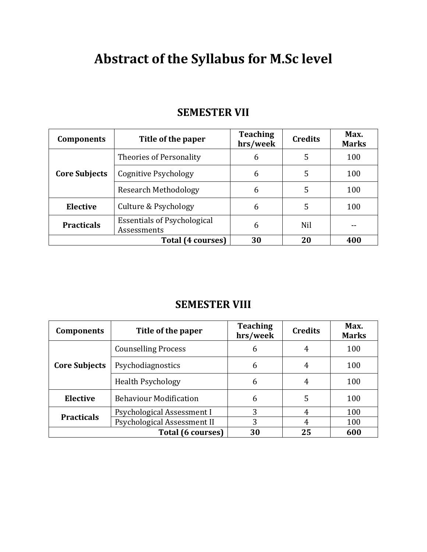# **Abstract of the Syllabus for M.Sc level**

| <b>SEMESTER VII</b> |  |
|---------------------|--|
|---------------------|--|

| Title of the paper<br><b>Components</b> |                                                   | <b>Teaching</b><br>hrs/week | <b>Credits</b> | Max.<br><b>Marks</b> |
|-----------------------------------------|---------------------------------------------------|-----------------------------|----------------|----------------------|
|                                         | Theories of Personality                           | 6                           | 5              | 100                  |
| <b>Core Subjects</b>                    | Cognitive Psychology                              | 6                           | 5              | 100                  |
|                                         | <b>Research Methodology</b>                       | 6                           | 5              | 100                  |
| <b>Elective</b>                         | Culture & Psychology                              | 6                           | 5              | 100                  |
| <b>Practicals</b>                       | <b>Essentials of Psychological</b><br>Assessments | 6                           | Nil            |                      |
|                                         | Total (4 courses)                                 | 30                          | 20             | 400                  |

## **SEMESTER VIII**

| Title of the paper<br><b>Components</b> |                               | <b>Teaching</b><br>hrs/week | <b>Credits</b> | Max.<br><b>Marks</b> |
|-----------------------------------------|-------------------------------|-----------------------------|----------------|----------------------|
|                                         | <b>Counselling Process</b>    | 6                           | 4              | 100                  |
| <b>Core Subjects</b>                    | Psychodiagnostics             | 6                           | 4              | 100                  |
|                                         | <b>Health Psychology</b>      | 6                           | 4              | 100                  |
| <b>Elective</b>                         | <b>Behaviour Modification</b> | 6                           | 5              | 100                  |
| <b>Practicals</b>                       | Psychological Assessment I    | 3                           | 4              | 100                  |
|                                         | Psychological Assessment II   | 3                           | 4              | 100                  |
|                                         | Total (6 courses)             | 30                          | 25             | 600                  |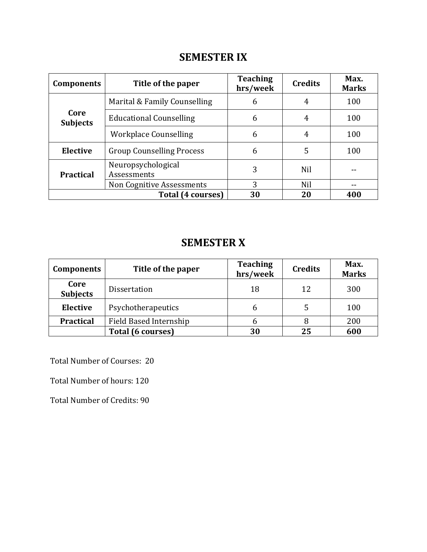## **SEMESTER IX**

| Title of the paper<br><b>Components</b> |                                   | <b>Teaching</b><br>hrs/week | <b>Credits</b> | Max.<br><b>Marks</b> |
|-----------------------------------------|-----------------------------------|-----------------------------|----------------|----------------------|
|                                         | Marital & Family Counselling      | 6                           | 4              | 100                  |
| Core<br><b>Subjects</b>                 | <b>Educational Counselling</b>    | 6                           | 4              | 100                  |
|                                         | <b>Workplace Counselling</b>      | 6                           | $\overline{4}$ | 100                  |
| <b>Elective</b>                         | <b>Group Counselling Process</b>  | 6                           | 5              | 100                  |
| <b>Practical</b>                        | Neuropsychological<br>Assessments | 3                           | <b>Nil</b>     |                      |
|                                         | <b>Non Cognitive Assessments</b>  | 3                           | <b>Nil</b>     |                      |
|                                         | Total (4 courses)                 | 30                          | 20             | 400                  |

## **SEMESTER X**

| Title of the paper<br><b>Components</b> |                        | <b>Teaching</b><br>hrs/week | <b>Credits</b> | Max.<br><b>Marks</b> |
|-----------------------------------------|------------------------|-----------------------------|----------------|----------------------|
| Core<br><b>Subjects</b>                 | <b>Dissertation</b>    | 18                          | 12             | 300                  |
| <b>Elective</b><br>Psychotherapeutics   |                        | 6                           | 5              | 100                  |
| <b>Practical</b>                        | Field Based Internship |                             |                | 200                  |
|                                         | Total (6 courses)      | 30                          | 25             | 600                  |

Total Number of Courses: 20

Total Number of hours: 120

Total Number of Credits: 90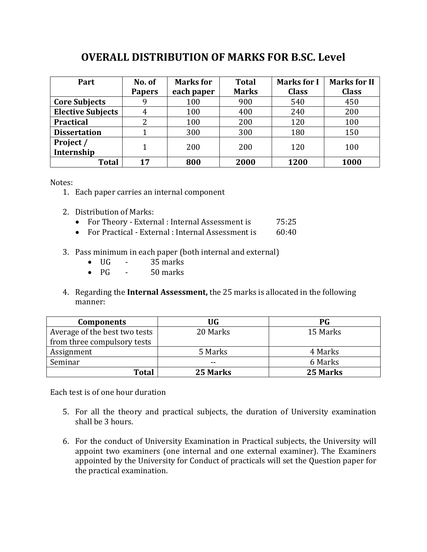## **OVERALL DISTRIBUTION OF MARKS FOR B.SC. Level**

| Part                     | No. of        | <b>Marks</b> for | <b>Total</b> | <b>Marks for I</b> | <b>Marks for II</b> |
|--------------------------|---------------|------------------|--------------|--------------------|---------------------|
|                          | <b>Papers</b> | each paper       | <b>Marks</b> | <b>Class</b>       | <b>Class</b>        |
| <b>Core Subjects</b>     |               | 100              | 900          | 540                | 450                 |
| <b>Elective Subjects</b> |               | 100              | 400          | 240                | 200                 |
| <b>Practical</b>         |               | 100              | 200          | 120                | 100                 |
| <b>Dissertation</b>      |               | 300              | 300          | 180                | 150                 |
| Project /<br>Internship  | 1             | 200              | 200          | 120                | 100                 |
| <b>Total</b>             | 17            | 800              | 2000         | 1200               | 1000                |

Notes:

- 1. Each paper carries an internal component
- 2. Distribution of Marks:
	- For Theory External : Internal Assessment is 75:25
	- For Practical External : Internal Assessment is  $60:40$
- 3. Pass minimum in each paper (both internal and external)
	- $\bullet$  UG 35 marks
	- $\bullet$  PG 50 marks
- 4. Regarding the **Internal Assessment,** the 25 marks is allocated in the following manner:

| <b>Components</b>             | <b>UG</b> | <b>PG</b> |
|-------------------------------|-----------|-----------|
| Average of the best two tests | 20 Marks  | 15 Marks  |
| from three compulsory tests   |           |           |
| Assignment                    | 5 Marks   | 4 Marks   |
| Seminar                       | --        | 6 Marks   |
| <b>Total</b>                  | 25 Marks  | 25 Marks  |

Each test is of one hour duration

- 5. For all the theory and practical subjects, the duration of University examination shall be 3 hours.
- 6. For the conduct of University Examination in Practical subjects, the University will appoint two examiners (one internal and one external examiner). The Examiners appointed by the University for Conduct of practicals will set the Question paper for the practical examination.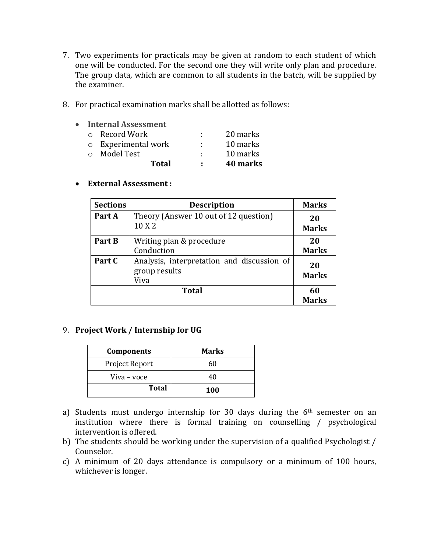- 7. Two experiments for practicals may be given at random to each student of which one will be conducted. For the second one they will write only plan and procedure. The group data, which are common to all students in the batch, will be supplied by the examiner.
- 8. For practical examination marks shall be allotted as follows:

| $\bullet$ | <b>Internal Assessment</b> |    |          |
|-----------|----------------------------|----|----------|
|           | $\circ$ Record Work        |    | 20 marks |
|           | o Experimental work        | л. | 10 marks |
|           | ○ Model Test               | ٠  | 10 marks |
|           | Total                      | л. | 40 marks |

**External Assessment :** 

| <b>Sections</b> | <b>Description</b>                                                  | <b>Marks</b>       |
|-----------------|---------------------------------------------------------------------|--------------------|
| Part A          | Theory (Answer 10 out of 12 question)<br>10 X 2                     | 20<br><b>Marks</b> |
| Part B          | Writing plan & procedure<br>Conduction                              | 20<br><b>Marks</b> |
| Part C          | Analysis, interpretation and discussion of<br>group results<br>Viva | 20<br><b>Marks</b> |
|                 | <b>Total</b>                                                        | 60<br><b>Marks</b> |

### 9. **Project Work / Internship for UG**

| <b>Components</b> | <b>Marks</b> |
|-------------------|--------------|
| Project Report    | 60           |
| Viva - voce       | 40           |
| <b>Total</b>      | 100          |

- a) Students must undergo internship for 30 days during the 6<sup>th</sup> semester on an institution where there is formal training on counselling / psychological intervention is offered.
- b) The students should be working under the supervision of a qualified Psychologist / Counselor.
- c) A minimum of 20 days attendance is compulsory or a minimum of 100 hours, whichever is longer.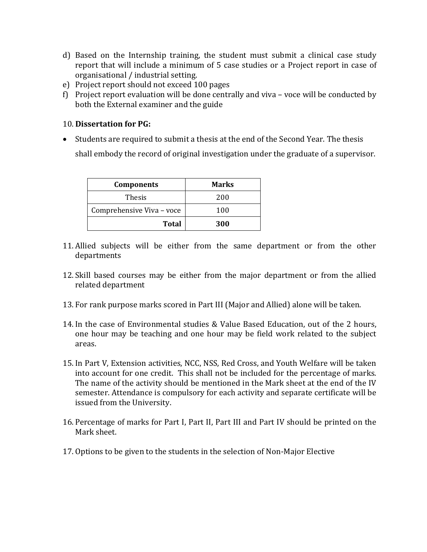- d) Based on the Internship training, the student must submit a clinical case study report that will include a minimum of 5 case studies or a Project report in case of organisational / industrial setting.
- e) Project report should not exceed 100 pages
- f) Project report evaluation will be done centrally and viva voce will be conducted by both the External examiner and the guide

#### 10. **Dissertation for PG:**

 Students are required to submit a thesis at the end of the Second Year. The thesis shall embody the record of original investigation under the graduate of a supervisor.

| <b>Components</b>         | <b>Marks</b> |
|---------------------------|--------------|
| <b>Thesis</b>             | 200          |
| Comprehensive Viva - voce | 100          |
| <b>Total</b>              | 300          |

- 11. Allied subjects will be either from the same department or from the other departments
- 12. Skill based courses may be either from the major department or from the allied related department
- 13. For rank purpose marks scored in Part III (Major and Allied) alone will be taken.
- 14. In the case of Environmental studies & Value Based Education, out of the 2 hours, one hour may be teaching and one hour may be field work related to the subject areas.
- 15. In Part V, Extension activities, NCC, NSS, Red Cross, and Youth Welfare will be taken into account for one credit. This shall not be included for the percentage of marks. The name of the activity should be mentioned in the Mark sheet at the end of the IV semester. Attendance is compulsory for each activity and separate certificate will be issued from the University.
- 16. Percentage of marks for Part I, Part II, Part III and Part IV should be printed on the Mark sheet.
- 17. Options to be given to the students in the selection of Non-Major Elective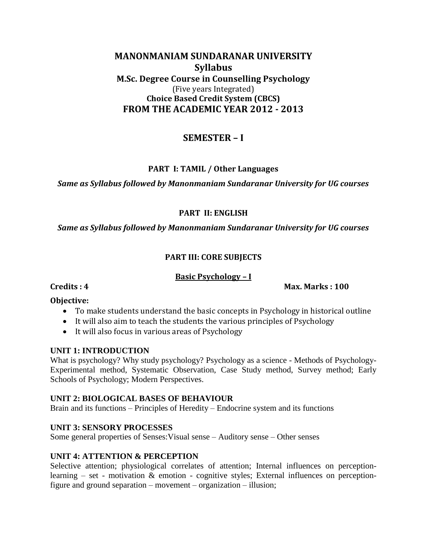### **MANONMANIAM SUNDARANAR UNIVERSITY Syllabus M.Sc. Degree Course in Counselling Psychology** (Five years Integrated) **Choice Based Credit System (CBCS) FROM THE ACADEMIC YEAR 2012 - 2013**

### **SEMESTER – I**

### **PART I: TAMIL / Other Languages**

#### *Same as Syllabus followed by Manonmaniam Sundaranar University for UG courses*

#### **PART II: ENGLISH**

*Same as Syllabus followed by Manonmaniam Sundaranar University for UG courses*

### **PART III: CORE SUBJECTS**

#### **Basic Psychology – I**

#### **Credits : 4 Max. Marks : 100**

#### **Objective:**

- To make students understand the basic concepts in Psychology in historical outline
- It will also aim to teach the students the various principles of Psychology
- It will also focus in various areas of Psychology

#### **UNIT 1: INTRODUCTION**

What is psychology? Why study psychology? Psychology as a science - Methods of Psychology-Experimental method, Systematic Observation, Case Study method, Survey method; Early Schools of Psychology; Modern Perspectives.

#### **UNIT 2: BIOLOGICAL BASES OF BEHAVIOUR**

Brain and its functions – Principles of Heredity – Endocrine system and its functions

### **UNIT 3: SENSORY PROCESSES**

Some general properties of Senses:Visual sense – Auditory sense – Other senses

### **UNIT 4: ATTENTION & PERCEPTION**

Selective attention; physiological correlates of attention; Internal influences on perceptionlearning – set - motivation  $\&$  emotion - cognitive styles; External influences on perceptionfigure and ground separation – movement – organization – illusion;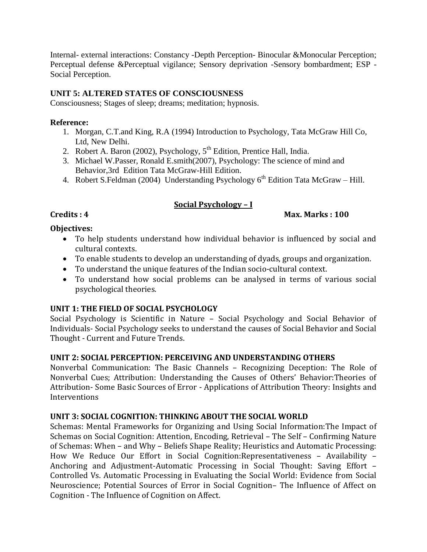Internal- external interactions: Constancy -Depth Perception- Binocular &Monocular Perception; Perceptual defense &Perceptual vigilance; Sensory deprivation -Sensory bombardment; ESP - Social Perception.

### **UNIT 5: ALTERED STATES OF CONSCIOUSNESS**

Consciousness; Stages of sleep; dreams; meditation; hypnosis.

#### **Reference:**

- 1. Morgan, C.T.and King, R.A (1994) Introduction to Psychology, Tata McGraw Hill Co, Ltd, New Delhi.
- 2. Robert A. Baron (2002), Psychology,  $5<sup>th</sup>$  Edition, Prentice Hall, India.
- 3. Michael W.Passer, Ronald E.smith(2007), Psychology: The science of mind and Behavior,3rd Edition Tata McGraw-Hill Edition.
- 4. Robert S.Feldman (2004) Understanding Psychology  $6<sup>th</sup>$  Edition Tata McGraw Hill.

### **Social Psychology – I**

#### **Credits : 4 Max. Marks : 100**

#### **Objectives:**

- To help students understand how individual behavior is influenced by social and cultural contexts.
- To enable students to develop an understanding of dyads, groups and organization.
- To understand the unique features of the Indian socio-cultural context.
- To understand how social problems can be analysed in terms of various social psychological theories.

#### **UNIT 1: THE FIELD OF SOCIAL PSYCHOLOGY**

Social Psychology is Scientific in Nature – Social Psychology and Social Behavior of Individuals- Social Psychology seeks to understand the causes of Social Behavior and Social Thought - Current and Future Trends.

#### **UNIT 2: SOCIAL PERCEPTION: PERCEIVING AND UNDERSTANDING OTHERS**

Nonverbal Communication: The Basic Channels – Recognizing Deception: The Role of Nonverbal Cues; Attribution: Understanding the Causes of Others' Behavior:Theories of Attribution- Some Basic Sources of Error - Applications of Attribution Theory: Insights and **Interventions** 

#### **UNIT 3: SOCIAL COGNITION: THINKING ABOUT THE SOCIAL WORLD**

Schemas: Mental Frameworks for Organizing and Using Social Information:The Impact of Schemas on Social Cognition: Attention, Encoding, Retrieval – The Self – Confirming Nature of Schemas: When – and Why – Beliefs Shape Reality; Heuristics and Automatic Processing: How We Reduce Our Effort in Social Cognition:Representativeness – Availability – Anchoring and Adjustment-Automatic Processing in Social Thought: Saving Effort – Controlled Vs. Automatic Processing in Evaluating the Social World: Evidence from Social Neuroscience; Potential Sources of Error in Social Cognition– The Influence of Affect on Cognition - The Influence of Cognition on Affect.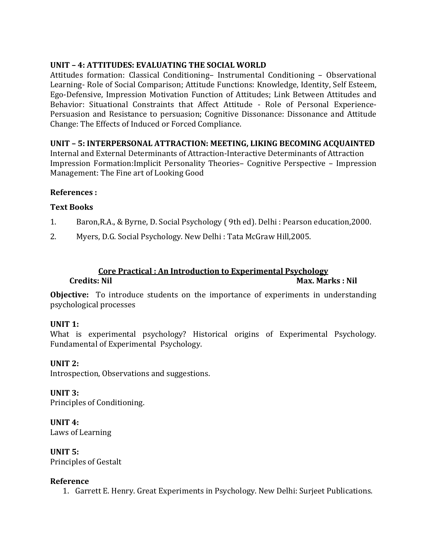### **UNIT – 4: ATTITUDES: EVALUATING THE SOCIAL WORLD**

Attitudes formation: Classical Conditioning– Instrumental Conditioning – Observational Learning- Role of Social Comparison; Attitude Functions: Knowledge, Identity, Self Esteem, Ego-Defensive, Impression Motivation Function of Attitudes; Link Between Attitudes and Behavior: Situational Constraints that Affect Attitude - Role of Personal Experience-Persuasion and Resistance to persuasion; Cognitive Dissonance: Dissonance and Attitude Change: The Effects of Induced or Forced Compliance.

### **UNIT – 5: INTERPERSONAL ATTRACTION: MEETING, LIKING BECOMING ACQUAINTED**

Internal and External Determinants of Attraction-Interactive Determinants of Attraction Impression Formation:Implicit Personality Theories– Cognitive Perspective – Impression Management: The Fine art of Looking Good

#### **References :**

#### **Text Books**

- 1. Baron,R.A., & Byrne, D. Social Psychology ( 9th ed). Delhi : Pearson education,2000.
- 2. Myers, D.G. Social Psychology. New Delhi : Tata McGraw Hill,2005.

#### **Core Practical : An Introduction to Experimental Psychology Credits: Nil** Max. Marks : Nil

**Objective:** To introduce students on the importance of experiments in understanding psychological processes

#### **UNIT 1:**

What is experimental psychology? Historical origins of Experimental Psychology. Fundamental of Experimental Psychology.

#### **UNIT 2:**

Introspection, Observations and suggestions.

**UNIT 3:** Principles of Conditioning.

**UNIT 4:** Laws of Learning

**UNIT 5:** Principles of Gestalt

#### **Reference**

1. Garrett E. Henry. Great Experiments in Psychology. New Delhi: Surjeet Publications.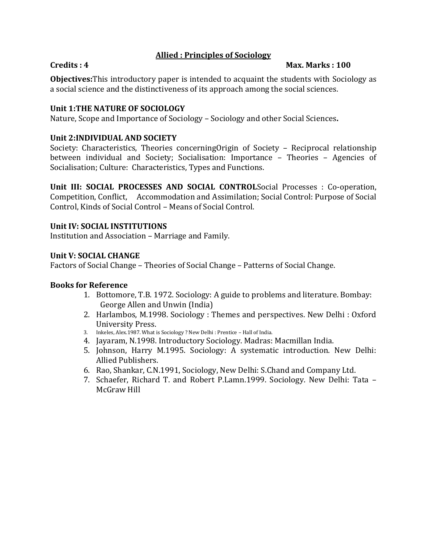#### **Allied : Principles of Sociology**

#### **Credits : 4 Max. Marks : 100**

**Objectives:**This introductory paper is intended to acquaint the students with Sociology as a social science and the distinctiveness of its approach among the social sciences.

#### **Unit 1:THE NATURE OF SOCIOLOGY**

Nature, Scope and Importance of Sociology – Sociology and other Social Sciences**.**

#### **Unit 2:INDIVIDUAL AND SOCIETY**

Society: Characteristics, Theories concerningOrigin of Society – Reciprocal relationship between individual and Society; Socialisation: Importance – Theories – Agencies of Socialisation; Culture: Characteristics, Types and Functions.

**Unit III: SOCIAL PROCESSES AND SOCIAL CONTROL**Social Processes : Co-operation, Competition, Conflict, Accommodation and Assimilation; Social Control: Purpose of Social Control, Kinds of Social Control – Means of Social Control.

#### **Unit IV: SOCIAL INSTITUTIONS**

Institution and Association – Marriage and Family.

#### **Unit V: SOCIAL CHANGE**

Factors of Social Change – Theories of Social Change – Patterns of Social Change.

#### **Books for Reference**

- 1. Bottomore, T.B. 1972. Sociology: A guide to problems and literature. Bombay: George Allen and Unwin (India)
- 2. Harlambos, M.1998. Sociology : Themes and perspectives. New Delhi : Oxford University Press.
- 3. Inkeles, Alex.1987. What is Sociology ? New Delhi : Prentice Hall of India.
- 4. Jayaram, N.1998. Introductory Sociology. Madras: Macmillan India.
- 5. Johnson, Harry M.1995. Sociology: A systematic introduction. New Delhi: Allied Publishers.
- 6. Rao, Shankar, C.N.1991, Sociology, New Delhi: S.Chand and Company Ltd.
- 7. Schaefer, Richard T. and Robert P.Lamn.1999. Sociology. New Delhi: Tata McGraw Hill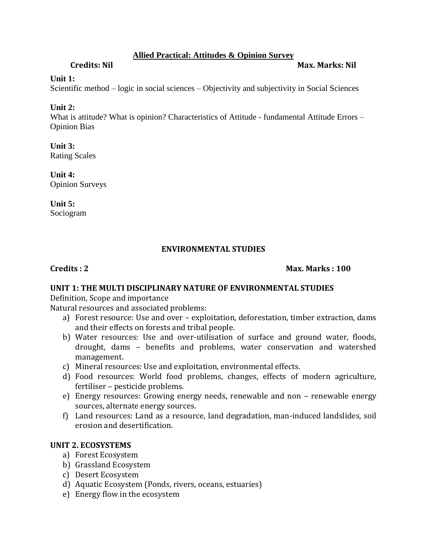#### **Allied Practical: Attitudes & Opinion Survey**

**Credits: Nil Max. Marks: Nil**

#### **Unit 1:**

Scientific method – logic in social sciences – Objectivity and subjectivity in Social Sciences

### **Unit 2:**

What is attitude? What is opinion? Characteristics of Attitude - fundamental Attitude Errors – Opinion Bias

**Unit 3:** Rating Scales

**Unit 4:** Opinion Surveys

**Unit 5:** Sociogram

### **ENVIRONMENTAL STUDIES**

**Credits : 2 Max. Marks : 100**

### **UNIT 1: THE MULTI DISCIPLINARY NATURE OF ENVIRONMENTAL STUDIES**

Definition, Scope and importance

Natural resources and associated problems:

- a) Forest resource: Use and over exploitation, deforestation, timber extraction, dams and their effects on forests and tribal people.
- b) Water resources: Use and over-utilisation of surface and ground water, floods, drought, dams – benefits and problems, water conservation and watershed management.
- c) Mineral resources: Use and exploitation, environmental effects.
- d) Food resources: World food problems, changes, effects of modern agriculture, fertiliser – pesticide problems.
- e) Energy resources: Growing energy needs, renewable and non renewable energy sources, alternate energy sources.
- f) Land resources: Land as a resource, land degradation, man-induced landslides, soil erosion and desertification.

### **UNIT 2. ECOSYSTEMS**

- a) Forest Ecosystem
- b) Grassland Ecosystem
- c) Desert Ecosystem
- d) Aquatic Ecosystem (Ponds, rivers, oceans, estuaries)
- e) Energy flow in the ecosystem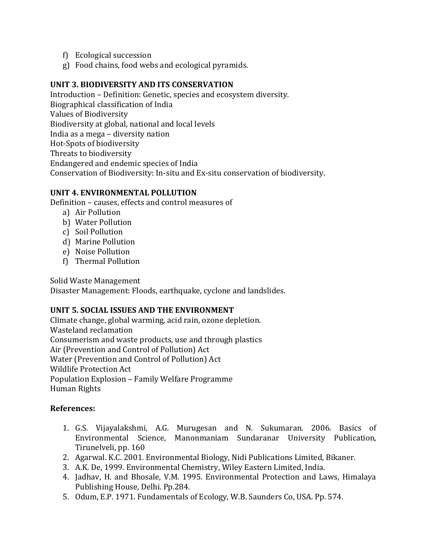- f) Ecological succession
- g) Food chains, food webs and ecological pyramids.

#### **UNIT 3. BIODIVERSITY AND ITS CONSERVATION**

Introduction – Definition: Genetic, species and ecosystem diversity. Biographical classification of India Values of Biodiversity Biodiversity at global, national and local levels India as a mega – diversity nation Hot-Spots of biodiversity Threats to biodiversity Endangered and endemic species of India Conservation of Biodiversity: In-situ and Ex-situ conservation of biodiversity.

#### **UNIT 4. ENVIRONMENTAL POLLUTION**

Definition – causes, effects and control measures of

- a) Air Pollution
- b) Water Pollution
- c) Soil Pollution
- d) Marine Pollution
- e) Noise Pollution
- f) Thermal Pollution

Solid Waste Management

Disaster Management: Floods, earthquake, cyclone and landslides.

#### **UNIT 5. SOCIAL ISSUES AND THE ENVIRONMENT**

Climate change, global warming, acid rain, ozone depletion. Wasteland reclamation Consumerism and waste products, use and through plastics Air (Prevention and Control of Pollution) Act Water (Prevention and Control of Pollution) Act Wildlife Protection Act Population Explosion – Family Welfare Programme Human Rights

- 1. G.S. Vijayalakshmi, A.G. Murugesan and N. Sukumaran. 2006. Basics of Environmental Science, Manonmaniam Sundaranar University Publication, Tirunelveli, pp. 160
- 2. Agarwal. K.C. 2001. Environmental Biology, Nidi Publications Limited, Bikaner.
- 3. A.K. De, 1999. Environmental Chemistry, Wiley Eastern Limited, India.
- 4. Jadhav, H. and Bhosale, V.M. 1995. Environmental Protection and Laws, Himalaya Publishing House, Delhi. Pp.284.
- 5. Odum, E.P. 1971. Fundamentals of Ecology, W.B. Saunders Co, USA. Pp. 574.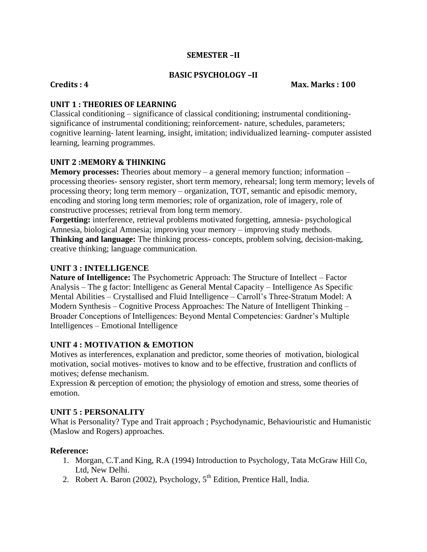#### **SEMESTER –II**

#### **BASIC PSYCHOLOGY –II**

#### **Credits : 4 Max. Marks : 100**

#### **UNIT 1 : THEORIES OF LEARNING**

Classical conditioning – significance of classical conditioning; instrumental conditioningsignificance of instrumental conditioning; reinforcement- nature, schedules, parameters; cognitive learning- latent learning, insight, imitation; individualized learning- computer assisted learning, learning programmes.

#### **UNIT 2 :MEMORY & THINKING**

**Memory processes:** Theories about memory – a general memory function; information – processing theories- sensory register, short term memory, rehearsal; long term memory; levels of processing theory; long term memory – organization, TOT, semantic and episodic memory, encoding and storing long term memories; role of organization, role of imagery, role of constructive processes; retrieval from long term memory.

**Forgetting:** interference, retrieval problems motivated forgetting, amnesia- psychological Amnesia, biological Amnesia; improving your memory – improving study methods. **Thinking and language:** The thinking process- concepts, problem solving, decision-making, creative thinking; language communication.

#### **UNIT 3 : INTELLIGENCE**

**Nature of Intelligence:** The Psychometric Approach: The Structure of Intellect – Factor Analysis – The g factor: Intelligenc as General Mental Capacity – Intelligence As Specific Mental Abilities – Crystallised and Fluid Intelligence – Carroll's Three-Stratum Model: A Modern Synthesis – Cognitive Process Approaches: The Nature of Intelligent Thinking – Broader Conceptions of Intelligences: Beyond Mental Competencies: Gardner's Multiple Intelligences – Emotional Intelligence

#### **UNIT 4 : MOTIVATION & EMOTION**

Motives as interferences, explanation and predictor, some theories of motivation, biological motivation, social motives- motives to know and to be effective, frustration and conflicts of motives; defense mechanism.

Expression & perception of emotion; the physiology of emotion and stress, some theories of emotion.

#### **UNIT 5 : PERSONALITY**

What is Personality? Type and Trait approach ; Psychodynamic, Behaviouristic and Humanistic (Maslow and Rogers) approaches.

- 1. Morgan, C.T.and King, R.A (1994) Introduction to Psychology, Tata McGraw Hill Co, Ltd, New Delhi.
- 2. Robert A. Baron (2002), Psychology,  $5<sup>th</sup>$  Edition, Prentice Hall, India.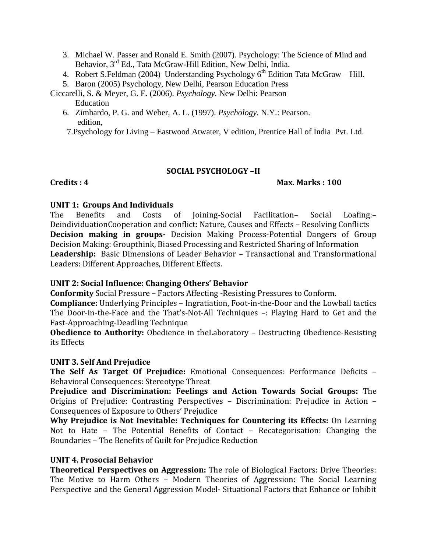- 3. Michael W. Passer and Ronald E. Smith (2007). Psychology: The Science of Mind and Behavior, 3<sup>rd</sup> Ed., Tata McGraw-Hill Edition, New Delhi, India.
- 4. Robert S.Feldman (2004) Understanding Psychology  $6<sup>th</sup>$  Edition Tata McGraw Hill.
- 5. Baron (2005) Psychology, New Delhi, Pearson Education Press

Ciccarelli, S. & Meyer, G. E. (2006). *Psychology.* New Delhi: Pearson

- Education
- 6. Zimbardo, P. G. and Weber, A. L. (1997). *Psychology.* N.Y.: Pearson. edition,

7.Psychology for Living – Eastwood Atwater, V edition, Prentice Hall of India Pvt. Ltd.

#### **SOCIAL PSYCHOLOGY –II**

#### **Credits : 4 Max. Marks : 100**

#### **UNIT 1: Groups And Individuals**

The Benefits and Costs of Joining-Social Facilitation– Social Loafing:– DeindividuationCooperation and conflict: Nature, Causes and Effects – Resolving Conflicts **Decision making in groups-** Decision Making Process-Potential Dangers of Group Decision Making: Groupthink, Biased Processing and Restricted Sharing of Information **Leadership:** Basic Dimensions of Leader Behavior – Transactional and Transformational Leaders: Different Approaches, Different Effects.

#### **UNIT 2: Social Influence: Changing Others' Behavior**

**Conformity** Social Pressure – Factors Affecting -Resisting Pressures to Conform.

**Compliance:** Underlying Principles – Ingratiation, Foot-in-the-Door and the Lowball tactics The Door-in-the-Face and the That's-Not-All Techniques –: Playing Hard to Get and the Fast-Approaching-Deadling Technique

**Obedience to Authority:** Obedience in theLaboratory – Destructing Obedience-Resisting its Effects

#### **UNIT 3. Self And Prejudice**

**The Self As Target Of Prejudice:** Emotional Consequences: Performance Deficits – Behavioral Consequences: Stereotype Threat

**Prejudice and Discrimination: Feelings and Action Towards Social Groups:** The Origins of Prejudice: Contrasting Perspectives – Discrimination: Prejudice in Action – Consequences of Exposure to Others' Prejudice

**Why Prejudice is Not Inevitable: Techniques for Countering its Effects:** On Learning Not to Hate – The Potential Benefits of Contact – Recategorisation: Changing the Boundaries – The Benefits of Guilt for Prejudice Reduction

#### **UNIT 4. Prosocial Behavior**

**Theoretical Perspectives on Aggression:** The role of Biological Factors: Drive Theories: The Motive to Harm Others – Modern Theories of Aggression: The Social Learning Perspective and the General Aggression Model- Situational Factors that Enhance or Inhibit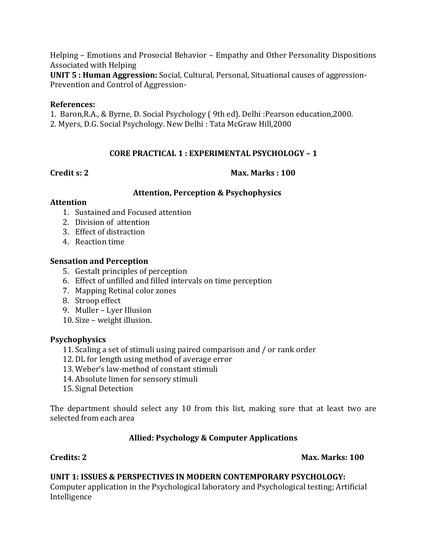Helping – Emotions and Prosocial Behavior – Empathy and Other Personality Dispositions Associated with Helping

**UNIT 5 : Human Aggression:** Social, Cultural, Personal, Situational causes of aggression-Prevention and Control of Aggression-

#### **References:**

1. Baron,R.A., & Byrne, D. Social Psychology ( 9th ed). Delhi :Pearson education,2000.

2. Myers, D.G. Social Psychology. New Delhi : Tata McGraw Hill,2000

### **CORE PRACTICAL 1 : EXPERIMENTAL PSYCHOLOGY – 1**

**Credit s: 2 Max. Marks : 100**

#### **Attention, Perception & Psychophysics**

#### **Attention**

- 1. Sustained and Focused attention
- 2. Division of attention
- 3. Effect of distraction
- 4. Reaction time

### **Sensation and Perception**

- 5. Gestalt principles of perception
- 6. Effect of unfilled and filled intervals on time perception
- 7. Mapping Retinal color zones
- 8. Stroop effect
- 9. Muller Lyer Illusion
- 10. Size weight illusion.

### **Psychophysics**

- 11. Scaling a set of stimuli using paired comparison and / or rank order
- 12. DL for length using method of average error
- 13. Weber's law-method of constant stimuli
- 14. Absolute limen for sensory stimuli
- 15. Signal Detection

The department should select any 10 from this list, making sure that at least two are selected from each area

### **Allied: Psychology & Computer Applications**

### **Credits: 2 Max. Marks: 100**

### **UNIT 1: ISSUES & PERSPECTIVES IN MODERN CONTEMPORARY PSYCHOLOGY:**

Computer application in the Psychological laboratory and Psychological testing; Artificial Intelligence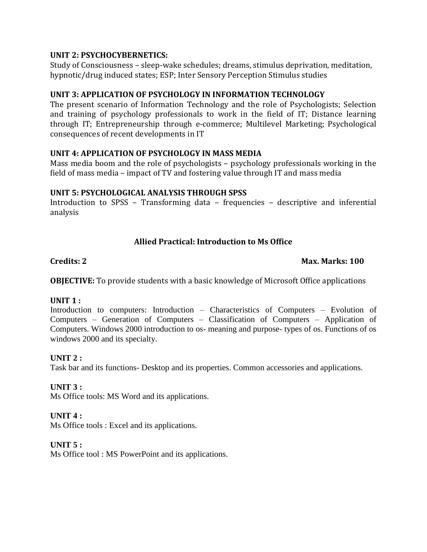#### **UNIT 2: PSYCHOCYBERNETICS:**

Study of Consciousness – sleep-wake schedules; dreams, stimulus deprivation, meditation, hypnotic/drug induced states; ESP; Inter Sensory Perception Stimulus studies

#### **UNIT 3: APPLICATION OF PSYCHOLOGY IN INFORMATION TECHNOLOGY**

The present scenario of Information Technology and the role of Psychologists; Selection and training of psychology professionals to work in the field of IT; Distance learning through IT; Entrepreneurship through e-commerce; Multilevel Marketing; Psychological consequences of recent developments in IT

#### **UNIT 4: APPLICATION OF PSYCHOLOGY IN MASS MEDIA**

Mass media boom and the role of psychologists – psychology professionals working in the field of mass media – impact of TV and fostering value through IT and mass media

#### **UNIT 5: PSYCHOLOGICAL ANALYSIS THROUGH SPSS**

Introduction to SPSS – Transforming data – frequencies – descriptive and inferential analysis

### **Allied Practical: Introduction to Ms Office**

#### **Credits: 2 Max. Marks: 100**

**OBJECTIVE:** To provide students with a basic knowledge of Microsoft Office applications

### **UNIT 1 :**

Introduction to computers: Introduction – Characteristics of Computers – Evolution of Computers – Generation of Computers – Classification of Computers – Application of Computers. Windows 2000 introduction to os- meaning and purpose- types of os. Functions of os windows 2000 and its specialty.

#### **UNIT 2 :**

Task bar and its functions- Desktop and its properties. Common accessories and applications.

### **UNIT 3 :**

Ms Office tools: MS Word and its applications.

### **UNIT 4 :**

Ms Office tools : Excel and its applications.

#### **UNIT 5 :**

Ms Office tool : MS PowerPoint and its applications.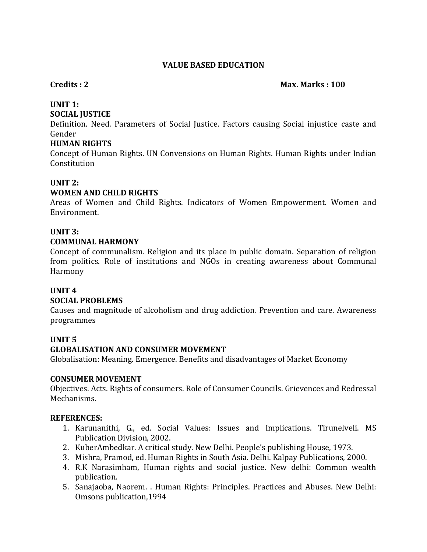#### **VALUE BASED EDUCATION**

#### **Credits : 2** Max. Marks **: 100**

#### **UNIT 1:**

#### **SOCIAL JUSTICE**

Definition. Need. Parameters of Social Justice. Factors causing Social injustice caste and Gender

#### **HUMAN RIGHTS**

Concept of Human Rights. UN Convensions on Human Rights. Human Rights under Indian Constitution

#### **UNIT 2:**

#### **WOMEN AND CHILD RIGHTS**

Areas of Women and Child Rights. Indicators of Women Empowerment. Women and Environment.

#### **UNIT 3:**

#### **COMMUNAL HARMONY**

Concept of communalism. Religion and its place in public domain. Separation of religion from politics. Role of institutions and NGOs in creating awareness about Communal Harmony

### **UNIT 4**

#### **SOCIAL PROBLEMS**

Causes and magnitude of alcoholism and drug addiction. Prevention and care. Awareness programmes

#### **UNIT 5**

#### **GLOBALISATION AND CONSUMER MOVEMENT**

Globalisation: Meaning. Emergence. Benefits and disadvantages of Market Economy

#### **CONSUMER MOVEMENT**

Objectives. Acts. Rights of consumers. Role of Consumer Councils. Grievences and Redressal Mechanisms.

#### **REFERENCES:**

- 1. Karunanithi, G., ed. Social Values: Issues and Implications. Tirunelveli. MS Publication Division, 2002.
- 2. KuberAmbedkar. A critical study. New Delhi. People's publishing House, 1973.
- 3. Mishra, Pramod, ed. Human Rights in South Asia. Delhi. Kalpay Publications, 2000.
- 4. R.K Narasimham, Human rights and social justice. New delhi: Common wealth publication.
- 5. Sanajaoba, Naorem. . Human Rights: Principles. Practices and Abuses. New Delhi: Omsons publication,1994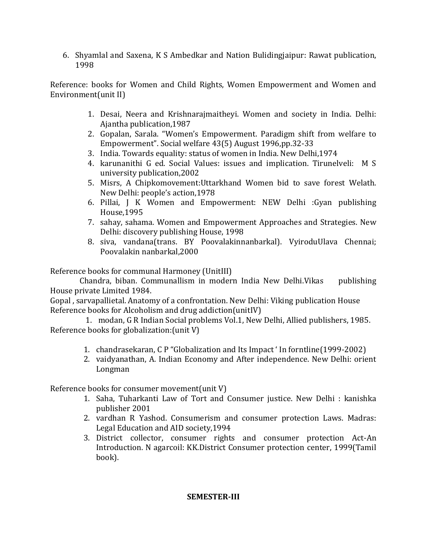6. Shyamlal and Saxena, K S Ambedkar and Nation Bulidingjaipur: Rawat publication, 1998

Reference: books for Women and Child Rights, Women Empowerment and Women and Environment(unit II)

- 1. Desai, Neera and Krishnarajmaitheyi. Women and society in India. Delhi: Ajantha publication,1987
- 2. Gopalan, Sarala. "Women's Empowerment. Paradigm shift from welfare to Empowerment". Social welfare 43(5) August 1996,pp.32-33
- 3. India. Towards equality: status of women in India. New Delhi,1974
- 4. karunanithi G ed. Social Values: issues and implication. Tirunelveli: M S university publication,2002
- 5. Misrs, A Chipkomovement:Uttarkhand Women bid to save forest Welath. New Delhi: people's action,1978
- 6. Pillai, J K Women and Empowerment: NEW Delhi :Gyan publishing House,1995
- 7. sahay, sahama. Women and Empowerment Approaches and Strategies. New Delhi: discovery publishing House, 1998
- 8. siva, vandana(trans. BY Poovalakinnanbarkal). VyiroduUlava Chennai; Poovalakin nanbarkal,2000

Reference books for communal Harmoney (UnitIII)

 Chandra, biban. Communallism in modern India New Delhi.Vikas publishing House private Limited 1984.

Gopal , sarvapallietal. Anatomy of a confrontation. New Delhi: Viking publication House Reference books for Alcoholism and drug addiction(unitIV)

1. modan, G R Indian Social problems Vol.1, New Delhi, Allied publishers, 1985. Reference books for globalization:(unit V)

- 1. chandrasekaran, C P "Globalization and Its Impact ' In forntline(1999-2002)
- 2. vaidyanathan, A. Indian Economy and After independence. New Delhi: orient Longman

Reference books for consumer movement(unit V)

- 1. Saha, Tuharkanti Law of Tort and Consumer justice. New Delhi : kanishka publisher 2001
- 2. vardhan R Yashod. Consumerism and consumer protection Laws. Madras: Legal Education and AID society,1994
- 3. District collector, consumer rights and consumer protection Act-An Introduction. N agarcoil: KK.District Consumer protection center, 1999(Tamil book).

#### **SEMESTER-III**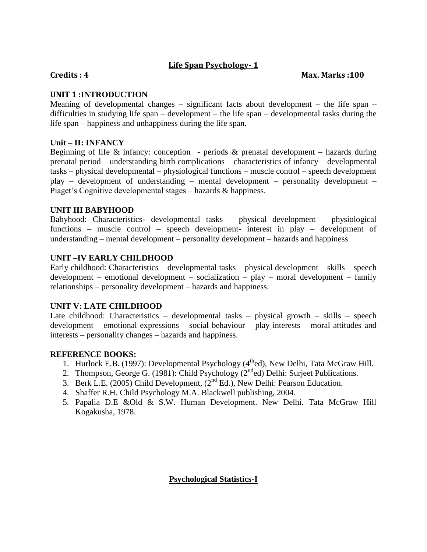### **Life Span Psychology- 1**

#### **Credits : 4 Max. Marks :100**

#### **UNIT 1 :INTRODUCTION**

Meaning of developmental changes – significant facts about development – the life span – difficulties in studying life span – development – the life span – developmental tasks during the life span – happiness and unhappiness during the life span.

#### **Unit – II: INFANCY**

Beginning of life  $\&$  infancy: conception - periods  $\&$  prenatal development – hazards during prenatal period – understanding birth complications – characteristics of infancy – developmental tasks – physical developmental – physiological functions – muscle control – speech development play – development of understanding – mental development – personality development – Piaget's Cognitive developmental stages – hazards & happiness.

#### **UNIT III BABYHOOD**

Babyhood: Characteristics- developmental tasks – physical development – physiological functions – muscle control – speech development- interest in play – development of understanding – mental development – personality development – hazards and happiness

#### **UNIT –IV EARLY CHILDHOOD**

Early childhood: Characteristics – developmental tasks – physical development – skills – speech development – emotional development – socialization – play – moral development – family relationships – personality development – hazards and happiness.

#### **UNIT V: LATE CHILDHOOD**

Late childhood: Characteristics – developmental tasks – physical growth – skills – speech development – emotional expressions – social behaviour – play interests – moral attitudes and interests – personality changes – hazards and happiness.

#### **REFERENCE BOOKS:**

- 1. Hurlock E.B. (1997): Developmental Psychology  $(4<sup>th</sup>ed)$ , New Delhi, Tata McGraw Hill.
- 2. Thompson, George G. (1981): Child Psychology ( $2<sup>nd</sup>$ ed) Delhi: Surjeet Publications.
- 3. Berk L.E. (2005) Child Development, (2nd Ed.), New Delhi: Pearson Education.
- 4. Shaffer R.H. Child Psychology M.A. Blackwell publishing, 2004.
- 5. Papalia D.E &Old & S.W. Human Development. New Delhi. Tata McGraw Hill Kogakusha, 1978.

### **Psychological Statistics-I**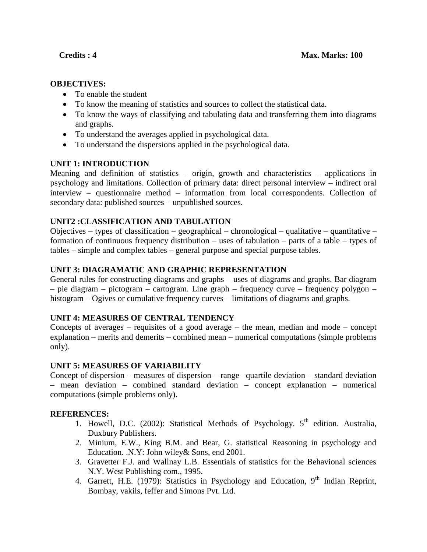#### **OBJECTIVES:**

- To enable the student
- To know the meaning of statistics and sources to collect the statistical data.
- To know the ways of classifying and tabulating data and transferring them into diagrams and graphs.
- To understand the averages applied in psychological data.
- To understand the dispersions applied in the psychological data.

#### **UNIT 1: INTRODUCTION**

Meaning and definition of statistics – origin, growth and characteristics – applications in psychology and limitations. Collection of primary data: direct personal interview – indirect oral interview – questionnaire method – information from local correspondents. Collection of secondary data: published sources – unpublished sources.

#### **UNIT2 :CLASSIFICATION AND TABULATION**

Objectives – types of classification – geographical – chronological – qualitative – quantitative – formation of continuous frequency distribution – uses of tabulation – parts of a table – types of tables – simple and complex tables – general purpose and special purpose tables.

#### **UNIT 3: DIAGRAMATIC AND GRAPHIC REPRESENTATION**

General rules for constructing diagrams and graphs – uses of diagrams and graphs. Bar diagram – pie diagram – pictogram – cartogram. Line graph – frequency curve – frequency polygon – histogram – Ogives or cumulative frequency curves – limitations of diagrams and graphs.

#### **UNIT 4: MEASURES OF CENTRAL TENDENCY**

Concepts of averages – requisites of a good average – the mean, median and mode – concept explanation – merits and demerits – combined mean – numerical computations (simple problems only).

#### **UNIT 5: MEASURES OF VARIABILITY**

Concept of dispersion – measures of dispersion – range –quartile deviation – standard deviation – mean deviation – combined standard deviation – concept explanation – numerical computations (simple problems only).

#### **REFERENCES:**

- 1. Howell, D.C. (2002): Statistical Methods of Psychology.  $5<sup>th</sup>$  edition. Australia, Duxbury Publishers.
- 2. Minium, E.W., King B.M. and Bear, G. statistical Reasoning in psychology and Education. .N.Y: John wiley& Sons, end 2001.
- 3. Gravetter F.J. and Wallnay L.B. Essentials of statistics for the Behavional sciences N.Y. West Publishing com., 1995.
- 4. Garrett, H.E. (1979): Statistics in Psychology and Education,  $9<sup>th</sup>$  Indian Reprint, Bombay, vakils, feffer and Simons Pvt. Ltd.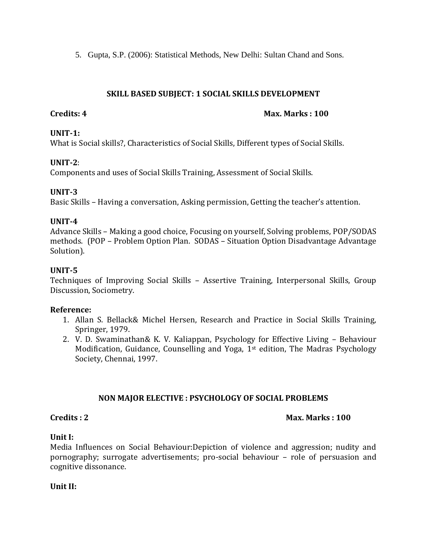5. Gupta, S.P. (2006): Statistical Methods, New Delhi: Sultan Chand and Sons.

#### **SKILL BASED SUBJECT: 1 SOCIAL SKILLS DEVELOPMENT**

#### **Credits: 4** Max. Marks : 100

#### **UNIT-1:**

What is Social skills?, Characteristics of Social Skills, Different types of Social Skills.

#### **UNIT-2**:

Components and uses of Social Skills Training, Assessment of Social Skills.

#### **UNIT-3**

Basic Skills – Having a conversation, Asking permission, Getting the teacher's attention.

#### **UNIT-4**

Advance Skills – Making a good choice, Focusing on yourself, Solving problems, POP/SODAS methods. (POP – Problem Option Plan. SODAS – Situation Option Disadvantage Advantage Solution).

### **UNIT-5**

Techniques of Improving Social Skills – Assertive Training, Interpersonal Skills, Group Discussion, Sociometry.

#### **Reference:**

- 1. Allan S. Bellack& Michel Hersen, Research and Practice in Social Skills Training, Springer, 1979.
- 2. V. D. Swaminathan& K. V. Kaliappan, Psychology for Effective Living Behaviour Modification, Guidance, Counselling and Yoga, 1st edition, The Madras Psychology Society, Chennai, 1997.

### **NON MAJOR ELECTIVE : PSYCHOLOGY OF SOCIAL PROBLEMS**

#### **Credits : 2 Max. Marks : 100**

#### **Unit I:**

Media Influences on Social Behaviour:Depiction of violence and aggression; nudity and pornography; surrogate advertisements; pro-social behaviour – role of persuasion and cognitive dissonance.

#### **Unit II:**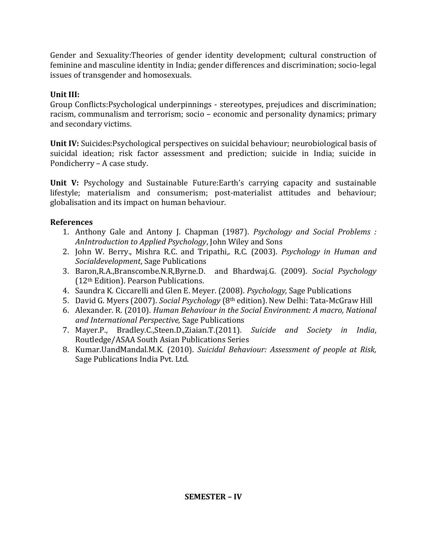Gender and Sexuality:Theories of gender identity development; cultural construction of feminine and masculine identity in India; gender differences and discrimination; socio-legal issues of transgender and homosexuals.

### **Unit III:**

Group Conflicts:Psychological underpinnings - stereotypes, prejudices and discrimination; racism, communalism and terrorism; socio – economic and personality dynamics; primary and secondary victims.

**Unit IV:** Suicides:Psychological perspectives on suicidal behaviour; neurobiological basis of suicidal ideation; risk factor assessment and prediction; suicide in India; suicide in Pondicherry – A case study.

**Unit V:** Psychology and Sustainable Future:Earth's carrying capacity and sustainable lifestyle; materialism and consumerism; post-materialist attitudes and behaviour; globalisation and its impact on human behaviour.

- 1. Anthony Gale and Antony J. Chapman (1987). *Psychology and Social Problems : AnIntroduction to Applied Psychology*, John Wiley and Sons
- 2. John W. Berry., Mishra R.C. and Tripathi,. R.C. (2003). *Psychology in Human and Socialdevelopment*, Sage Publications
- 3. Baron,R.A.,Branscombe.N.R,Byrne.D. and Bhardwaj.G. (2009). *Social Psychology* (12th Edition). Pearson Publications.
- 4. Saundra K. Ciccarelli and Glen E. Meyer. (2008). *Psychology,* Sage Publications
- 5. David G. Myers (2007). *Social Psychology* (8th edition). New Delhi: Tata-McGraw Hill
- 6. Alexander. R. (2010). *Human Behaviour in the Social Environment: A macro, National and International Perspective,* Sage Publications
- 7. Mayer.P., Bradley.C.,Steen.D.,Ziaian.T.(2011). *Suicide and Society in India*, Routledge/ASAA South Asian Publications Series
- 8. Kumar.UandMandal.M.K. (2010). *Suicidal Behaviour: Assessment of people at Risk,*  Sage Publications India Pvt. Ltd.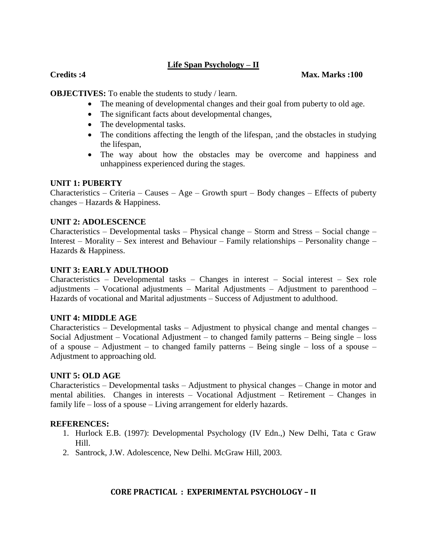#### **Life Span Psychology – II**

#### **Credits :4 Max. Marks :100**

**OBJECTIVES:** To enable the students to study / learn.

- The meaning of developmental changes and their goal from puberty to old age.
- The significant facts about developmental changes,
- The developmental tasks.
- The conditions affecting the length of the lifespan, ; and the obstacles in studying the lifespan,
- The way about how the obstacles may be overcome and happiness and unhappiness experienced during the stages.

#### **UNIT 1: PUBERTY**

Characteristics – Criteria – Causes – Age – Growth spurt – Body changes – Effects of puberty changes – Hazards & Happiness.

#### **UNIT 2: ADOLESCENCE**

Characteristics – Developmental tasks – Physical change – Storm and Stress – Social change – Interest – Morality – Sex interest and Behaviour – Family relationships – Personality change – Hazards & Happiness.

#### **UNIT 3: EARLY ADULTHOOD**

Characteristics – Developmental tasks – Changes in interest – Social interest – Sex role adjustments – Vocational adjustments – Marital Adjustments – Adjustment to parenthood – Hazards of vocational and Marital adjustments – Success of Adjustment to adulthood.

#### **UNIT 4: MIDDLE AGE**

Characteristics – Developmental tasks – Adjustment to physical change and mental changes – Social Adjustment – Vocational Adjustment – to changed family patterns – Being single – loss of a spouse – Adjustment – to changed family patterns – Being single – loss of a spouse – Adjustment to approaching old.

#### **UNIT 5: OLD AGE**

Characteristics – Developmental tasks – Adjustment to physical changes – Change in motor and mental abilities. Changes in interests – Vocational Adjustment – Retirement – Changes in family life – loss of a spouse – Living arrangement for elderly hazards.

#### **REFERENCES:**

- 1. Hurlock E.B. (1997): Developmental Psychology (IV Edn.,) New Delhi, Tata c Graw Hill.
- 2. Santrock, J.W. Adolescence, New Delhi. McGraw Hill, 2003.

#### **CORE PRACTICAL : EXPERIMENTAL PSYCHOLOGY – II**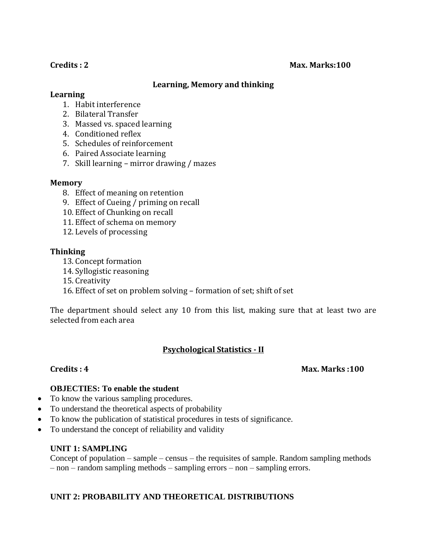#### **Credits : 2** Max. Marks:100

#### **Learning, Memory and thinking**

#### **Learning**

- 1. Habit interference
- 2. Bilateral Transfer
- 3. Massed vs. spaced learning
- 4. Conditioned reflex
- 5. Schedules of reinforcement
- 6. Paired Associate learning
- 7. Skill learning mirror drawing / mazes

#### **Memory**

- 8. Effect of meaning on retention
- 9. Effect of Cueing / priming on recall
- 10. Effect of Chunking on recall
- 11. Effect of schema on memory
- 12. Levels of processing

#### **Thinking**

- 13. Concept formation
- 14. Syllogistic reasoning
- 15. Creativity
- 16. Effect of set on problem solving formation of set; shift of set

The department should select any 10 from this list, making sure that at least two are selected from each area

#### **Psychological Statistics - II**

#### **Credits : 4 Max. Marks :100**

#### **OBJECTIES: To enable the student**

- To know the various sampling procedures.
- To understand the theoretical aspects of probability
- To know the publication of statistical procedures in tests of significance.
- To understand the concept of reliability and validity

#### **UNIT 1: SAMPLING**

Concept of population – sample – census – the requisites of sample. Random sampling methods – non – random sampling methods – sampling errors – non – sampling errors.

#### **UNIT 2: PROBABILITY AND THEORETICAL DISTRIBUTIONS**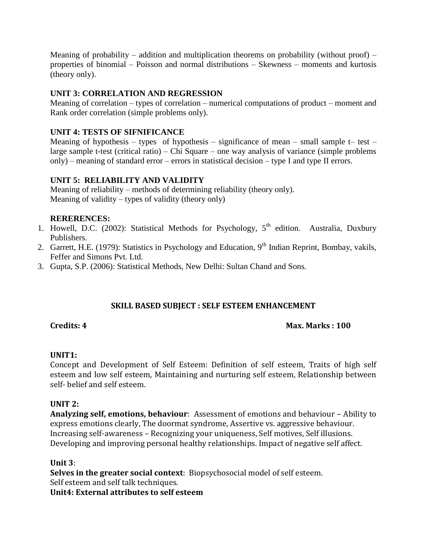Meaning of probability – addition and multiplication theorems on probability (without proof) – properties of binomial – Poisson and normal distributions – Skewness – moments and kurtosis (theory only).

#### **UNIT 3: CORRELATION AND REGRESSION**

Meaning of correlation – types of correlation – numerical computations of product – moment and Rank order correlation (simple problems only).

#### **UNIT 4: TESTS OF SIFNIFICANCE**

Meaning of hypothesis – types of hypothesis – significance of mean – small sample  $t$ – test – large sample t-test (critical ratio) – Chi Square – one way analysis of variance (simple problems only) – meaning of standard error – errors in statistical decision – type I and type II errors.

#### **UNIT 5: RELIABILITY AND VALIDITY**

Meaning of reliability – methods of determining reliability (theory only). Meaning of validity – types of validity (theory only)

#### **RERERENCES:**

- 1. Howell, D.C. (2002): Statistical Methods for Psychology, 5<sup>th</sup> edition. Australia, Duxbury Publishers.
- 2. Garrett, H.E. (1979): Statistics in Psychology and Education, 9<sup>th</sup> Indian Reprint, Bombay, vakils, Feffer and Simons Pvt. Ltd.
- 3. Gupta, S.P. (2006): Statistical Methods, New Delhi: Sultan Chand and Sons.

#### **SKILL BASED SUBJECT : SELF ESTEEM ENHANCEMENT**

#### **Credits: 4 Max. Marks : 100**

#### **UNIT1:**

Concept and Development of Self Esteem: Definition of self esteem, Traits of high self esteem and low self esteem, Maintaining and nurturing self esteem, Relationship between self- belief and self esteem.

#### **UNIT 2:**

**Analyzing self, emotions, behaviour**: Assessment of emotions and behaviour – Ability to express emotions clearly, The doormat syndrome, Assertive vs. aggressive behaviour. Increasing self-awareness – Recognizing your uniqueness, Self motives, Self illusions. Developing and improving personal healthy relationships. Impact of negative self affect.

#### **Unit 3**:

**Selves in the greater social context**: Biopsychosocial model of self esteem. Self esteem and self talk techniques.

**Unit4: External attributes to self esteem**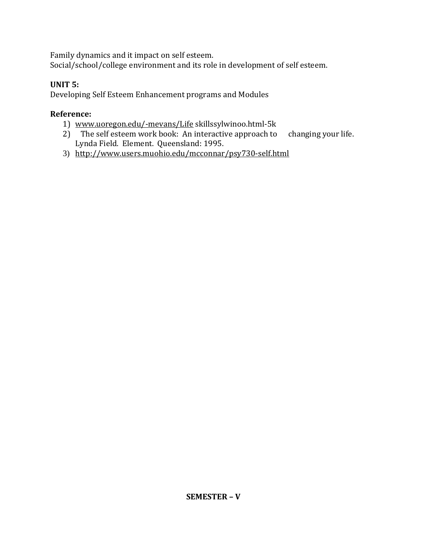Family dynamics and it impact on self esteem.

Social/school/college environment and its role in development of self esteem.

### **UNIT 5:**

Developing Self Esteem Enhancement programs and Modules

- 1) [www.uoregon.edu/-mevans/Life](http://www.uoregon.edu/-mevans/Life) skillssylwinoo.html-5k
- 2) The self esteem work book: An interactive approach to changing your life. Lynda Field. Element. Queensland: 1995.
- 3) <http://www.users.muohio.edu/mcconnar/psy730-self.html>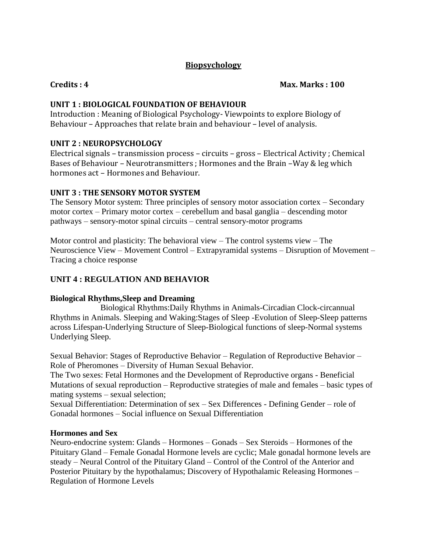#### **Biopsychology**

**Credits : 4 Max. Marks : 100**

#### **UNIT 1 : BIOLOGICAL FOUNDATION OF BEHAVIOUR**

Introduction : Meaning of Biological Psychology- Viewpoints to explore Biology of Behaviour – Approaches that relate brain and behaviour – level of analysis.

#### **UNIT 2 : NEUROPSYCHOLOGY**

Electrical signals – transmission process – circuits – gross – Electrical Activity ; Chemical Bases of Behaviour – Neurotransmitters ; Hormones and the Brain –Way & leg which hormones act – Hormones and Behaviour.

#### **UNIT 3 : THE SENSORY MOTOR SYSTEM**

The Sensory Motor system: Three principles of sensory motor association cortex – Secondary motor cortex – Primary motor cortex – cerebellum and basal ganglia – descending motor pathways – sensory-motor spinal circuits – central sensory-motor programs

Motor control and plasticity: The behavioral view – The control systems view – The Neuroscience View – Movement Control – Extrapyramidal systems – Disruption of Movement – Tracing a choice response

### **UNIT 4 : REGULATION AND BEHAVIOR**

#### **Biological Rhythms,Sleep and Dreaming**

Biological Rhythms:Daily Rhythms in Animals-Circadian Clock-circannual Rhythms in Animals. Sleeping and Waking:Stages of Sleep -Evolution of Sleep-Sleep patterns across Lifespan-Underlying Structure of Sleep-Biological functions of sleep-Normal systems Underlying Sleep.

Sexual Behavior: Stages of Reproductive Behavior – Regulation of Reproductive Behavior – Role of Pheromones – Diversity of Human Sexual Behavior.

The Two sexes: Fetal Hormones and the Development of Reproductive organs - Beneficial Mutations of sexual reproduction – Reproductive strategies of male and females – basic types of mating systems – sexual selection;

Sexual Differentiation: Determination of sex – Sex Differences - Defining Gender – role of Gonadal hormones – Social influence on Sexual Differentiation

#### **Hormones and Sex**

Neuro-endocrine system: Glands – Hormones – Gonads – Sex Steroids – Hormones of the Pituitary Gland – Female Gonadal Hormone levels are cyclic; Male gonadal hormone levels are steady – Neural Control of the Pituitary Gland – Control of the Control of the Anterior and Posterior Pituitary by the hypothalamus; Discovery of Hypothalamic Releasing Hormones – Regulation of Hormone Levels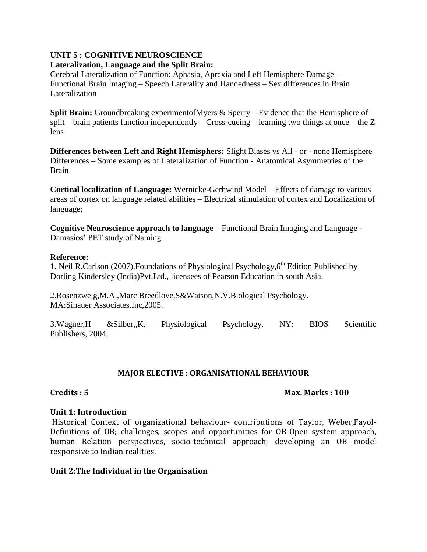#### **UNIT 5 : COGNITIVE NEUROSCIENCE Lateralization, Language and the Split Brain:**

Cerebral Lateralization of Function: Aphasia, Apraxia and Left Hemisphere Damage – Functional Brain Imaging – Speech Laterality and Handedness – Sex differences in Brain Lateralization

**Split Brain:** Groundbreaking experimentofMyers & Sperry – Evidence that the Hemisphere of split – brain patients function independently – Cross-cueing – learning two things at once – the Z lens

**Differences between Left and Right Hemisphers:** Slight Biases vs All - or - none Hemisphere Differences – Some examples of Lateralization of Function - Anatomical Asymmetries of the Brain

**Cortical localization of Language:** Wernicke-Gerhwind Model – Effects of damage to various areas of cortex on language related abilities – Electrical stimulation of cortex and Localization of language;

**Cognitive Neuroscience approach to language** – Functional Brain Imaging and Language - Damasios' PET study of Naming

#### **Reference:**

1. Neil R.Carlson (2007), Foundations of Physiological Psychology,  $6<sup>th</sup>$  Edition Published by Dorling Kindersley (India)Pvt.Ltd., licensees of Pearson Education in south Asia.

2.Rosenzweig,M.A.,Marc Breedlove,S&Watson,N.V.Biological Psychology. MA:Sinauer Associates,Inc,2005.

3.Wagner,H &Silber,,K. Physiological Psychology. NY: BIOS Scientific Publishers, 2004.

#### **MAJOR ELECTIVE : ORGANISATIONAL BEHAVIOUR**

#### **Credits : 5 Max. Marks : 100**

#### **Unit 1: Introduction**

Historical Context of organizational behaviour- contributions of Taylor, Weber,Fayol-Definitions of OB; challenges, scopes and opportunities for OB-Open system approach, human Relation perspectives, socio-technical approach; developing an OB model responsive to Indian realities.

#### **Unit 2:The Individual in the Organisation**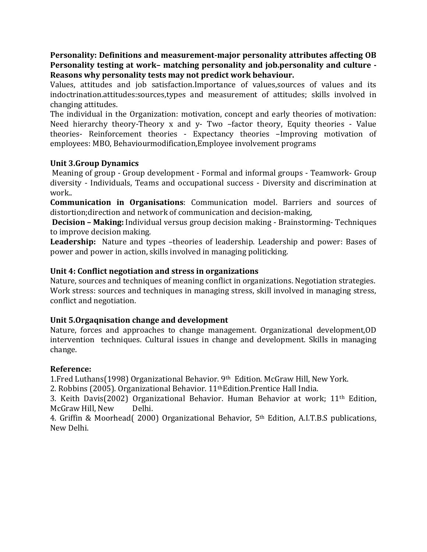**Personality: Definitions and measurement-major personality attributes affecting OB Personality testing at work– matching personality and job.personality and culture - Reasons why personality tests may not predict work behaviour.**

Values, attitudes and job satisfaction.Importance of values,sources of values and its indoctrination.attitudes:sources,types and measurement of attitudes; skills involved in changing attitudes.

The individual in the Organization: motivation, concept and early theories of motivation: Need hierarchy theory-Theory x and y- Two –factor theory, Equity theories - Value theories- Reinforcement theories - Expectancy theories –Improving motivation of employees: MBO, Behaviourmodification,Employee involvement programs

#### **Unit 3.Group Dynamics**

Meaning of group - Group development - Formal and informal groups - Teamwork- Group diversity - Individuals, Teams and occupational success - Diversity and discrimination at work..

**Communication in Organisations**: Communication model. Barriers and sources of distortion;direction and network of communication and decision-making,

**Decision – Making:** Individual versus group decision making - Brainstorming- Techniques to improve decision making.

Leadership: Nature and types -theories of leadership. Leadership and power: Bases of power and power in action, skills involved in managing politicking.

#### **Unit 4: Conflict negotiation and stress in organizations**

Nature, sources and techniques of meaning conflict in organizations. Negotiation strategies. Work stress: sources and techniques in managing stress, skill involved in managing stress, conflict and negotiation.

#### **Unit 5.Orgaqnisation change and development**

Nature, forces and approaches to change management. Organizational development,OD intervention techniques. Cultural issues in change and development. Skills in managing change.

#### **Reference:**

1.Fred Luthans(1998) Organizational Behavior. 9th Edition. McGraw Hill, New York.

2. Robbins (2005). Organizational Behavior. 11thEdition.Prentice Hall India.

3. Keith Davis(2002) Organizational Behavior. Human Behavior at work; 11th Edition, McGraw Hill, New Delhi.

4. Griffin & Moorhead( 2000) Organizational Behavior, 5th Edition, A.I.T.B.S publications, New Delhi.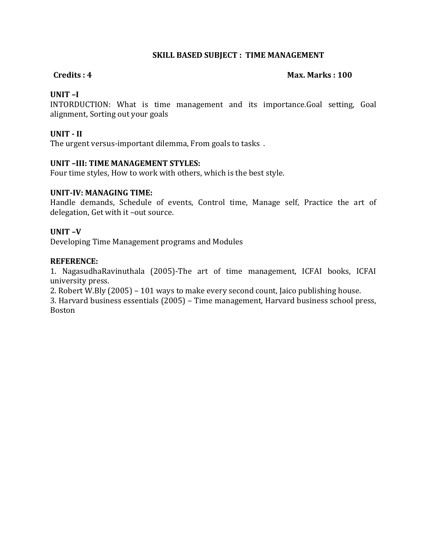#### **SKILL BASED SUBJECT : TIME MANAGEMENT**

#### **Credits : 4 Max. Marks : 100**

#### **UNIT –I**

INTORDUCTION: What is time management and its importance.Goal setting, Goal alignment, Sorting out your goals

#### **UNIT - II**

The urgent versus-important dilemma, From goals to tasks .

#### **UNIT –III: TIME MANAGEMENT STYLES:**

Four time styles, How to work with others, which is the best style.

#### **UNIT-IV: MANAGING TIME:**

Handle demands, Schedule of events, Control time, Manage self, Practice the art of delegation, Get with it –out source.

#### **UNIT –V**

Developing Time Management programs and Modules

#### **REFERENCE:**

1. NagasudhaRavinuthala (2005)-The art of time management, ICFAI books, ICFAI university press.

2. Robert W.Bly (2005) – 101 ways to make every second count, Jaico publishing house.

3. Harvard business essentials (2005) – Time management, Harvard business school press, Boston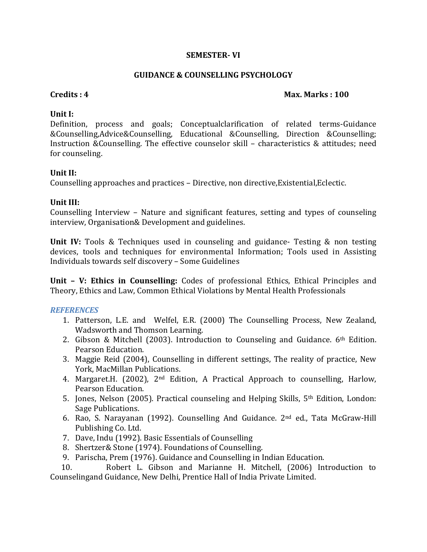#### **SEMESTER- VI**

#### **GUIDANCE & COUNSELLING PSYCHOLOGY**

#### **Credits : 4 Max. Marks : 100**

#### **Unit I:**

Definition, process and goals; Conceptualclarification of related terms-Guidance &Counselling,Advice&Counselling, Educational &Counselling, Direction &Counselling; Instruction &Counselling. The effective counselor skill – characteristics & attitudes; need for counseling.

#### **Unit II:**

Counselling approaches and practices – Directive, non directive,Existential,Eclectic.

#### **Unit III:**

Counselling Interview – Nature and significant features, setting and types of counseling interview, Organisation& Development and guidelines.

**Unit IV:** Tools & Techniques used in counseling and guidance- Testing & non testing devices, tools and techniques for environmental Information; Tools used in Assisting Individuals towards self discovery – Some Guidelines

**Unit – V: Ethics in Counselling:** Codes of professional Ethics, Ethical Principles and Theory, Ethics and Law, Common Ethical Violations by Mental Health Professionals

#### *REFERENCES*

- 1. Patterson, L.E. and Welfel, E.R. (2000) The Counselling Process, New Zealand, Wadsworth and Thomson Learning.
- 2. Gibson & Mitchell (2003). Introduction to Counseling and Guidance.  $6<sup>th</sup>$  Edition. Pearson Education.
- 3. Maggie Reid (2004), Counselling in different settings, The reality of practice, New York, MacMillan Publications.
- 4. Margaret.H. (2002), 2nd Edition, A Practical Approach to counselling, Harlow, Pearson Education.
- 5. Jones, Nelson (2005). Practical counseling and Helping Skills, 5th Edition, London: Sage Publications.
- 6. Rao, S. Narayanan (1992). Counselling And Guidance. 2nd ed., Tata McGraw-Hill Publishing Co. Ltd.
- 7. Dave, Indu (1992). Basic Essentials of Counselling
- 8. Shertzer& Stone (1974). Foundations of Counselling.
- 9. Parischa, Prem (1976). Guidance and Counselling in Indian Education.

 10. Robert L. Gibson and Marianne H. Mitchell, (2006) Introduction to Counselingand Guidance, New Delhi, Prentice Hall of India Private Limited.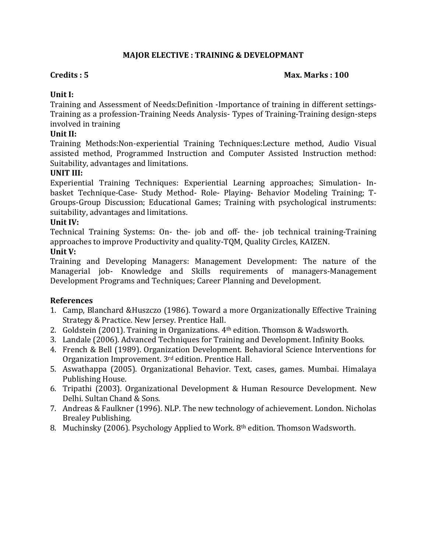#### **MAJOR ELECTIVE : TRAINING & DEVELOPMANT**

#### **Credits : 5 Max. Marks : 100**

#### **Unit I:**

Training and Assessment of Needs:Definition -Importance of training in different settings-Training as a profession-Training Needs Analysis- Types of Training-Training design-steps involved in training

#### **Unit II:**

Training Methods:Non-experiential Training Techniques:Lecture method, Audio Visual assisted method, Programmed Instruction and Computer Assisted Instruction method: Suitability, advantages and limitations.

#### **UNIT III:**

Experiential Training Techniques: Experiential Learning approaches; Simulation- Inbasket Technique-Case- Study Method- Role- Playing- Behavior Modeling Training; T-Groups-Group Discussion; Educational Games; Training with psychological instruments: suitability, advantages and limitations.

#### **Unit IV:**

Technical Training Systems: On- the- job and off- the- job technical training-Training approaches to improve Productivity and quality-TQM, Quality Circles, KAIZEN. **Unit V:**

Training and Developing Managers: Management Development: The nature of the Managerial job- Knowledge and Skills requirements of managers-Management Development Programs and Techniques; Career Planning and Development.

- 1. Camp, Blanchard &Huszczo (1986). Toward a more Organizationally Effective Training Strategy & Practice. New Jersey. Prentice Hall.
- 2. Goldstein (2001). Training in Organizations. 4th edition. Thomson & Wadsworth.
- 3. Landale (2006). Advanced Techniques for Training and Development. Infinity Books.
- 4. French & Bell (1989). Organization Development. Behavioral Science Interventions for Organization Improvement. 3rd edition. Prentice Hall.
- 5. Aswathappa (2005). Organizational Behavior. Text, cases, games. Mumbai. Himalaya Publishing House.
- 6. Tripathi (2003). Organizational Development & Human Resource Development. New Delhi. Sultan Chand & Sons.
- 7. Andreas & Faulkner (1996). NLP. The new technology of achievement. London. Nicholas Brealey Publishing.
- 8. Muchinsky (2006). Psychology Applied to Work. 8th edition. Thomson Wadsworth.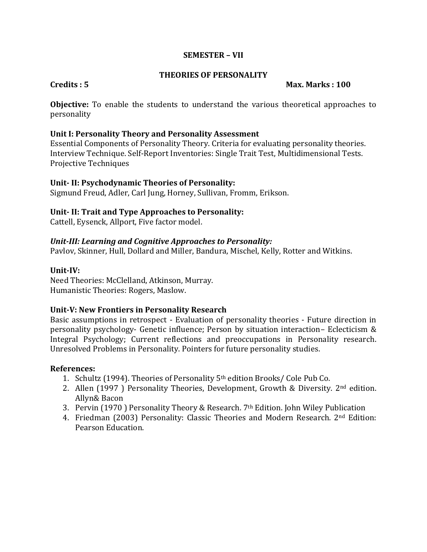#### **SEMESTER – VII**

#### **THEORIES OF PERSONALITY**

#### **Credits : 5 Max. Marks : 100**

**Objective:** To enable the students to understand the various theoretical approaches to personality

#### **Unit I: Personality Theory and Personality Assessment**

Essential Components of Personality Theory. Criteria for evaluating personality theories. Interview Technique. Self-Report Inventories: Single Trait Test, Multidimensional Tests. Projective Techniques

#### **Unit- II: Psychodynamic Theories of Personality:**

Sigmund Freud, Adler, Carl Jung, Horney, Sullivan, Fromm, Erikson.

#### **Unit- II: Trait and Type Approaches to Personality:**

Cattell, Eysenck, Allport, Five factor model.

#### *Unit-III: Learning and Cognitive Approaches to Personality:*

Pavlov, Skinner, Hull, Dollard and Miller, Bandura, Mischel, Kelly, Rotter and Witkins.

#### **Unit-IV:**

Need Theories: McClelland, Atkinson, Murray. Humanistic Theories: Rogers, Maslow.

#### **Unit-V: New Frontiers in Personality Research**

Basic assumptions in retrospect - Evaluation of personality theories - Future direction in personality psychology- Genetic influence; Person by situation interaction– Eclecticism & Integral Psychology; Current reflections and preoccupations in Personality research. Unresolved Problems in Personality. Pointers for future personality studies.

- 1. Schultz (1994). Theories of Personality 5th edition Brooks/ Cole Pub Co.
- 2. Allen (1997 ) Personality Theories, Development, Growth & Diversity. 2<sup>nd</sup> edition. Allyn& Bacon
- 3. Pervin (1970 ) Personality Theory & Research. 7th Edition. John Wiley Publication
- 4. Friedman (2003) Personality: Classic Theories and Modern Research. 2nd Edition: Pearson Education.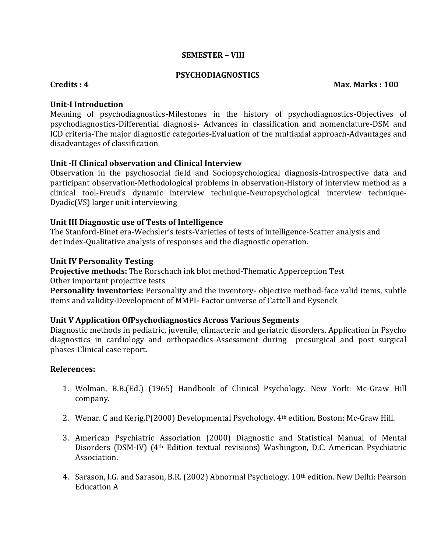#### **SEMESTER – VIII**

#### **PSYCHODIAGNOSTICS**

**Credits : 4 Max. Marks : 100**

#### **Unit-I Introduction**

Meaning of psychodiagnostics**-**Milestones in the history of psychodiagnostics**-**Objectives of psychodiagnostics**-**Differential diagnosis- Advances in classification and nomenclature-DSM and ICD criteria-The major diagnostic categories-Evaluation of the multiaxial approach-Advantages and disadvantages of classification

#### **Unit -II Clinical observation and Clinical Interview**

Observation in the psychosocial field and Sociopsychological diagnosis-Introspective data and participant observation-Methodological problems in observation-History of interview method as a clinical tool-Freud's dynamic interview technique-Neuropsychological interview technique-Dyadic(VS) larger unit interviewing

#### **Unit III Diagnostic use of Tests of Intelligence**

The Stanford-Binet era-Wechsler's tests-Varieties of tests of intelligence-Scatter analysis and det index-Qualitative analysis of responses and the diagnostic operation.

#### **Unit IV Personality Testing**

**Projective methods:** The Rorschach ink blot method-Thematic Apperception Test Other important projective tests

**Personality inventories:** Personality and the inventory**-** objective method-face valid items, subtle items and validity**-**Development of MMPI**-** Factor universe of Cattell and Eysenck

#### **Unit V Application OfPsychodiagnostics Across Various Segments**

Diagnostic methods in pediatric, juvenile, climacteric and geriatric disorders. Application in Psycho diagnostics in cardiology and orthopaedics-Assessment during presurgical and post surgical phases-Clinical case report.

- 1. Wolman, B.B.(Ed.) (1965) Handbook of Clinical Psychology. New York: Mc-Graw Hill company.
- 2. Wenar. C and Kerig.P(2000) Developmental Psychology. 4th edition. Boston: Mc-Graw Hill.
- 3. American Psychiatric Association (2000) Diagnostic and Statistical Manual of Mental Disorders (DSM-IV) (4th Edition textual revisions) Washington, D.C. American Psychiatric Association.
- 4. Sarason, I.G. and Sarason, B.R. (2002) Abnormal Psychology. 10th edition. New Delhi: Pearson Education A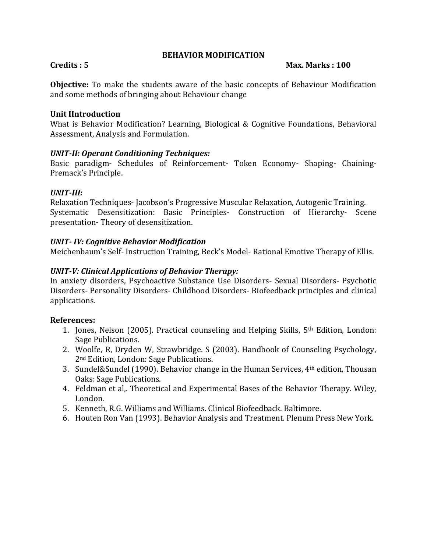#### **BEHAVIOR MODIFICATION**

#### **Credits : 5 Max. Marks : 100**

**Objective:** To make the students aware of the basic concepts of Behaviour Modification and some methods of bringing about Behaviour change

#### **Unit IIntroduction**

What is Behavior Modification? Learning, Biological & Cognitive Foundations, Behavioral Assessment, Analysis and Formulation.

#### *UNIT-II: Operant Conditioning Techniques:*

Basic paradigm- Schedules of Reinforcement- Token Economy- Shaping- Chaining-Premack's Principle.

#### *UNIT-III:*

Relaxation Techniques- Jacobson's Progressive Muscular Relaxation, Autogenic Training. Systematic Desensitization: Basic Principles- Construction of Hierarchy- Scene presentation- Theory of desensitization.

#### *UNIT- IV: Cognitive Behavior Modification*

Meichenbaum's Self- Instruction Training, Beck's Model- Rational Emotive Therapy of Ellis.

#### *UNIT-V: Clinical Applications of Behavior Therapy:*

In anxiety disorders, Psychoactive Substance Use Disorders- Sexual Disorders- Psychotic Disorders- Personality Disorders- Childhood Disorders- Biofeedback principles and clinical applications.

- 1. Jones, Nelson (2005). Practical counseling and Helping Skills, 5th Edition, London: Sage Publications.
- 2. Woolfe, R, Dryden W, Strawbridge. S (2003). Handbook of Counseling Psychology, 2nd Edition, London: Sage Publications.
- 3. Sundel&Sundel (1990). Behavior change in the Human Services, 4th edition, Thousan Oaks: Sage Publications.
- 4. Feldman et al,. Theoretical and Experimental Bases of the Behavior Therapy. Wiley, London.
- 5. Kenneth, R.G. Williams and Williams. Clinical Biofeedback. Baltimore.
- 6. Houten Ron Van (1993). Behavior Analysis and Treatment. Plenum Press New York.